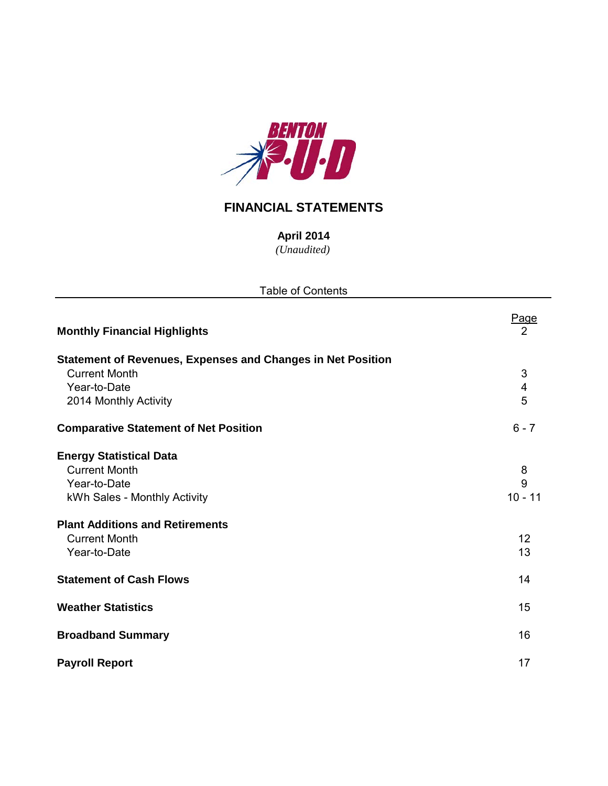

## **FINANCIAL STATEMENTS**

*(Unaudited)* **April 2014**

| <b>Table of Contents</b>                                           |                         |  |  |  |  |  |  |  |
|--------------------------------------------------------------------|-------------------------|--|--|--|--|--|--|--|
| <b>Monthly Financial Highlights</b>                                | Page<br>2               |  |  |  |  |  |  |  |
| <b>Statement of Revenues, Expenses and Changes in Net Position</b> |                         |  |  |  |  |  |  |  |
| <b>Current Month</b>                                               | $\sqrt{3}$              |  |  |  |  |  |  |  |
| Year-to-Date                                                       | $\overline{\mathbf{4}}$ |  |  |  |  |  |  |  |
| 2014 Monthly Activity                                              | 5                       |  |  |  |  |  |  |  |
| <b>Comparative Statement of Net Position</b>                       | $6 - 7$                 |  |  |  |  |  |  |  |
| <b>Energy Statistical Data</b>                                     |                         |  |  |  |  |  |  |  |
| <b>Current Month</b>                                               | 8                       |  |  |  |  |  |  |  |
| Year-to-Date                                                       | 9                       |  |  |  |  |  |  |  |
| kWh Sales - Monthly Activity                                       | $10 - 11$               |  |  |  |  |  |  |  |
| <b>Plant Additions and Retirements</b>                             |                         |  |  |  |  |  |  |  |
| <b>Current Month</b>                                               | 12                      |  |  |  |  |  |  |  |
| Year-to-Date                                                       | 13                      |  |  |  |  |  |  |  |
| <b>Statement of Cash Flows</b>                                     | 14                      |  |  |  |  |  |  |  |
| <b>Weather Statistics</b>                                          | 15                      |  |  |  |  |  |  |  |
| <b>Broadband Summary</b>                                           | 16                      |  |  |  |  |  |  |  |
| <b>Payroll Report</b>                                              | 17                      |  |  |  |  |  |  |  |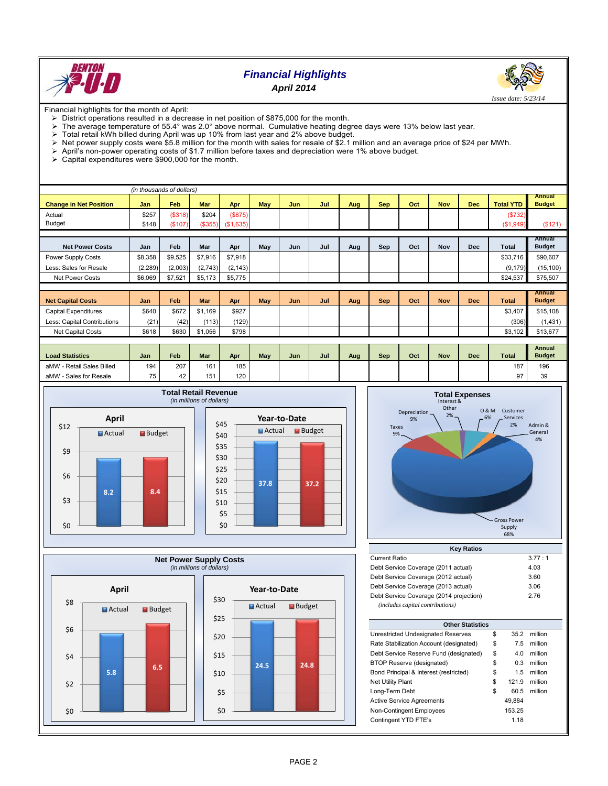

## *Financial Highlights April 2014*



Financial highlights for the month of April:

- District operations resulted in a decrease in net position of \$875,000 for the month.<br>
> The average temperature of 55.4° was 2.0° above normal. Cumulative heating deg
- The average temperature of 55.4° was 2.0° above normal. Cumulative heating degree days were 13% below last year.<br>
> Total retail kWh billed during April was up 10% from last year and 2% above budget.
- 
- $\triangleright$  Total retail kWh billed during April was up 10% from last year and 2% above budget.<br>  $\triangleright$  Net power supply costs were \$5.8 million for the month with sales for resale of \$2.1 r Net power supply costs were \$5.8 million for the month with sales for resale of \$2.1 million and an average price of \$24 per MWh.<br>> April's non-power operating costs of \$1.7 million before taxes and depreciation were 1% a
- $\triangleright$  April's non-power operating costs of \$1.7 million before taxes and depreciation were 1% above budget.<br>  $\triangleright$  Capital expenditures were \$900.000 for the month.
- Capital expenditures were \$900,000 for the month.

|                               | (in thousands of dollars) |         |            |           |     |     |     |     |            |     |            |            |                  |                         |
|-------------------------------|---------------------------|---------|------------|-----------|-----|-----|-----|-----|------------|-----|------------|------------|------------------|-------------------------|
|                               |                           |         |            |           |     |     |     |     |            |     |            |            |                  | <b>Annual</b>           |
| <b>Change in Net Position</b> | Jan                       | Feb     | <b>Mar</b> | Apr       | May | Jun | Jul | Aug | <b>Sep</b> | Oct | <b>Nov</b> | <b>Dec</b> | <b>Total YTD</b> | <b>Budget</b>           |
| Actual                        | \$257                     | (\$318) | \$204      | (S875)    |     |     |     |     |            |     |            |            | (\$732)          |                         |
| Budget                        | \$148                     | (\$107) | (\$355)    | (\$1,635) |     |     |     |     |            |     |            |            | (\$1,949)        | (\$121)                 |
|                               |                           |         |            |           |     |     |     |     |            |     |            |            |                  |                         |
| <b>Net Power Costs</b>        | Jan                       | Feb     | Mar        | Apr       | May | Jun | Jul | Aug | Sep        | Oct | <b>Nov</b> | <b>Dec</b> | Total            | Annual<br><b>Budget</b> |
| Power Supply Costs            | \$8,358                   | \$9,525 | \$7,916    | \$7,918   |     |     |     |     |            |     |            |            | \$33,716         | \$90,607                |
| Less: Sales for Resale        | (2, 289)                  | (2,003) | (2,743)    | (2, 143)  |     |     |     |     |            |     |            |            | (9, 179)         | (15, 100)               |
| <b>Net Power Costs</b>        | \$6,069                   | \$7,521 | \$5,173    | \$5,775   |     |     |     |     |            |     |            |            | \$24,537         | \$75,507                |
|                               |                           |         |            |           |     |     |     |     |            |     |            |            |                  |                         |
|                               |                           |         |            |           |     |     |     |     |            |     |            |            |                  | <b>Annual</b>           |
| <b>Net Capital Costs</b>      | Jan                       | Feb     | Mar        | Apr       | May | Jun | Jul | Aug | <b>Sep</b> | Oct | <b>Nov</b> | <b>Dec</b> | <b>Total</b>     | <b>Budget</b>           |
| Capital Expenditures          | \$640                     | \$672   | \$1,169    | \$927     |     |     |     |     |            |     |            |            | \$3,407          | \$15,108                |
| Less: Capital Contributions   | (21)                      | (42)    | (113)      | (129)     |     |     |     |     |            |     |            |            | (306)            | (1,431)                 |
| Net Capital Costs             | \$618                     | \$630   | \$1,056    | \$798     |     |     |     |     |            |     |            |            | \$3,102          | \$13,677                |
|                               |                           |         |            |           |     |     |     |     |            |     |            |            |                  |                         |
|                               |                           |         |            |           |     |     |     |     |            |     |            |            |                  | <b>Annual</b>           |
| <b>Load Statistics</b>        | Jan                       | Feb     | <b>Mar</b> | Apr       | May | Jun | Jul | Aug | <b>Sep</b> | Oct | <b>Nov</b> | <b>Dec</b> | <b>Total</b>     | <b>Budget</b>           |
| aMW - Retail Sales Billed     | 194                       | 207     | 161        | 185       |     |     |     |     |            |     |            |            | 187              | 196                     |
| aMW - Sales for Resale        | 75                        | 42      | 151        | 120       |     |     |     |     |            |     |            |            | 97               | 39                      |







| <b>Current Ratio</b>                    | 3.77:1 |
|-----------------------------------------|--------|
| Debt Service Coverage (2011 actual)     | 4.03   |
| Debt Service Coverage (2012 actual)     | 3.60   |
| Debt Service Coverage (2013 actual)     | 3.06   |
| Debt Service Coverage (2014 projection) | 2.76   |
| (includes capital contributions)        |        |

| <b>Other Statistics</b>                 |    |        |         |  |  |  |  |  |  |  |
|-----------------------------------------|----|--------|---------|--|--|--|--|--|--|--|
| Unrestricted Undesignated Reserves      | \$ | 35.2   | million |  |  |  |  |  |  |  |
| Rate Stabilization Account (designated) | \$ | 7.5    | million |  |  |  |  |  |  |  |
| Debt Service Reserve Fund (designated)  | \$ | 4.0    | million |  |  |  |  |  |  |  |
| BTOP Reserve (designated)               | \$ | 0.3    | million |  |  |  |  |  |  |  |
| Bond Principal & Interest (restricted)  | \$ | 1.5    | million |  |  |  |  |  |  |  |
| <b>Net Utility Plant</b>                | \$ | 121.9  | million |  |  |  |  |  |  |  |
| Long-Term Debt                          | \$ | 60.5   | million |  |  |  |  |  |  |  |
| <b>Active Service Agreements</b>        |    | 49.884 |         |  |  |  |  |  |  |  |
| Non-Contingent Employees                |    | 153.25 |         |  |  |  |  |  |  |  |
| Contingent YTD FTE's                    |    | 1.18   |         |  |  |  |  |  |  |  |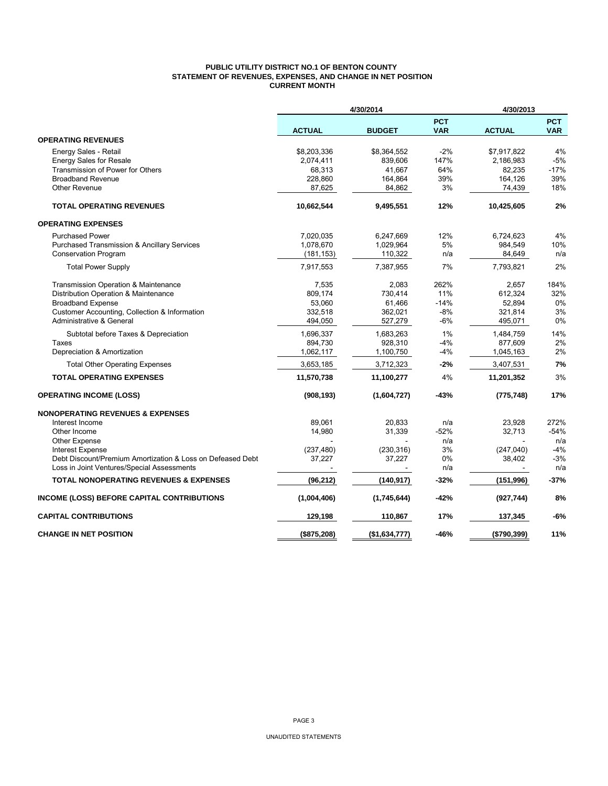## **PUBLIC UTILITY DISTRICT NO.1 OF BENTON COUNTY STATEMENT OF REVENUES, EXPENSES, AND CHANGE IN NET POSITION CURRENT MONTH**

|                                                                                |                          | 4/30/2014            |                          | 4/30/2013      |                          |
|--------------------------------------------------------------------------------|--------------------------|----------------------|--------------------------|----------------|--------------------------|
|                                                                                | <b>ACTUAL</b>            | <b>BUDGET</b>        | <b>PCT</b><br><b>VAR</b> | <b>ACTUAL</b>  | <b>PCT</b><br><b>VAR</b> |
| <b>OPERATING REVENUES</b>                                                      |                          |                      |                          |                |                          |
| Energy Sales - Retail                                                          | \$8,203,336              | \$8,364,552          | $-2%$                    | \$7,917,822    | 4%                       |
| <b>Energy Sales for Resale</b>                                                 | 2,074,411                | 839.606              | 147%                     | 2,186,983      | $-5%$                    |
| Transmission of Power for Others                                               | 68,313                   | 41,667               | 64%                      | 82,235         | $-17%$                   |
| <b>Broadband Revenue</b>                                                       | 228,860                  | 164,864              | 39%                      | 164,126        | 39%                      |
| <b>Other Revenue</b>                                                           | 87,625                   | 84,862               | 3%                       | 74,439         | 18%                      |
| <b>TOTAL OPERATING REVENUES</b>                                                | 10,662,544               | 9,495,551            | 12%                      | 10,425,605     | 2%                       |
| <b>OPERATING EXPENSES</b>                                                      |                          |                      |                          |                |                          |
| <b>Purchased Power</b>                                                         | 7,020,035                | 6,247,669            | 12%                      | 6,724,623      | 4%                       |
| <b>Purchased Transmission &amp; Ancillary Services</b>                         | 1,078,670                | 1,029,964            | 5%                       | 984,549        | 10%                      |
| Conservation Program                                                           | (181, 153)               | 110,322              | n/a                      | 84,649         | n/a                      |
| <b>Total Power Supply</b>                                                      | 7,917,553                | 7,387,955            | 7%                       | 7,793,821      | 2%                       |
| Transmission Operation & Maintenance                                           | 7,535                    | 2,083                | 262%                     | 2,657          | 184%                     |
| Distribution Operation & Maintenance                                           | 809,174                  | 730.414              | 11%                      | 612,324        | 32%                      |
| <b>Broadband Expense</b>                                                       | 53,060                   | 61,466               | $-14%$                   | 52,894         | 0%                       |
| Customer Accounting, Collection & Information                                  | 332,518                  | 362,021              | $-8%$                    | 321,814        | 3%                       |
| Administrative & General                                                       | 494,050                  | 527,279              | $-6%$                    | 495,071        | $0\%$                    |
| Subtotal before Taxes & Depreciation                                           | 1,696,337                | 1,683,263            | 1%                       | 1,484,759      | 14%                      |
| Taxes                                                                          | 894,730                  | 928,310              | $-4%$                    | 877,609        | 2%                       |
| Depreciation & Amortization                                                    | 1,062,117                | 1,100,750            | $-4%$                    | 1,045,163      | 2%                       |
| <b>Total Other Operating Expenses</b>                                          | 3,653,185                | 3,712,323            | -2%                      | 3,407,531      | 7%                       |
| <b>TOTAL OPERATING EXPENSES</b>                                                | 11,570,738               | 11,100,277           | 4%                       | 11,201,352     | 3%                       |
| <b>OPERATING INCOME (LOSS)</b>                                                 | (908, 193)               | (1,604,727)          | $-43%$                   | (775, 748)     | 17%                      |
| <b>NONOPERATING REVENUES &amp; EXPENSES</b>                                    |                          |                      |                          |                |                          |
| Interest Income                                                                | 89.061                   | 20,833               | n/a                      | 23,928         | 272%                     |
| Other Income                                                                   | 14,980                   | 31,339               | $-52%$                   | 32,713         | $-54%$                   |
| <b>Other Expense</b>                                                           |                          |                      | n/a<br>3%                | (247,040)      | n/a<br>$-4%$             |
| Interest Expense<br>Debt Discount/Premium Amortization & Loss on Defeased Debt | (237, 480)<br>37,227     | (230, 316)<br>37,227 | 0%                       | 38,402         | $-3%$                    |
| Loss in Joint Ventures/Special Assessments                                     | $\overline{\phantom{a}}$ |                      | n/a                      | $\blacksquare$ | n/a                      |
| <b>TOTAL NONOPERATING REVENUES &amp; EXPENSES</b>                              | (96, 212)                | (140, 917)           | $-32%$                   | (151, 996)     | $-37%$                   |
| <b>INCOME (LOSS) BEFORE CAPITAL CONTRIBUTIONS</b>                              | (1,004,406)              | (1,745,644)          | -42%                     | (927, 744)     | 8%                       |
| <b>CAPITAL CONTRIBUTIONS</b>                                                   | 129,198                  | 110,867              | 17%                      | 137,345        | $-6%$                    |
| <b>CHANGE IN NET POSITION</b>                                                  | (\$875,208)              | (\$1,634,777)        | -46%                     | (\$790,399)    | 11%                      |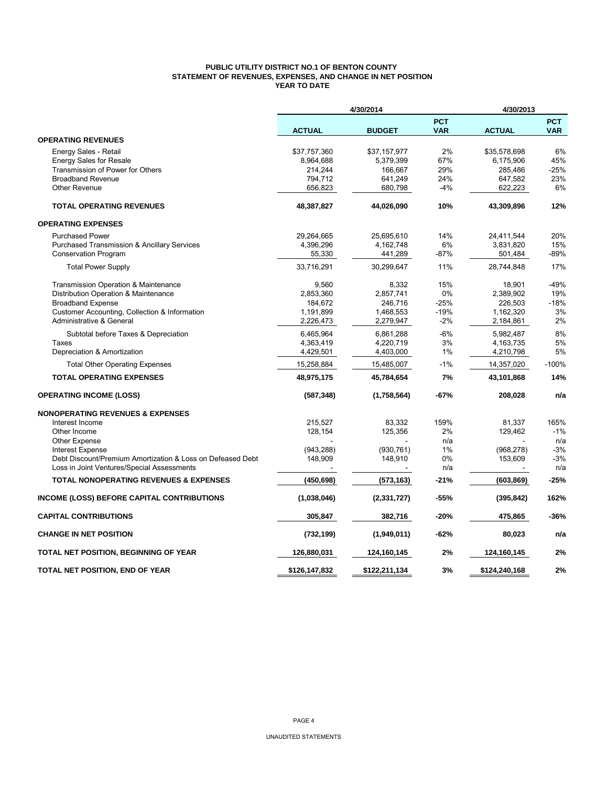## **PUBLIC UTILITY DISTRICT NO.1 OF BENTON COUNTY STATEMENT OF REVENUES, EXPENSES, AND CHANGE IN NET POSITION YEAR TO DATE**

|                                                            |               | 4/30/2014     |                          | 4/30/2013     |                          |
|------------------------------------------------------------|---------------|---------------|--------------------------|---------------|--------------------------|
|                                                            | <b>ACTUAL</b> | <b>BUDGET</b> | <b>PCT</b><br><b>VAR</b> | <b>ACTUAL</b> | <b>PCT</b><br><b>VAR</b> |
| <b>OPERATING REVENUES</b>                                  |               |               |                          |               |                          |
| Energy Sales - Retail                                      | \$37,757,360  | \$37,157,977  | 2%                       | \$35,578,698  | 6%                       |
| <b>Energy Sales for Resale</b>                             | 8,964,688     | 5,379,399     | 67%                      | 6,175,906     | 45%                      |
| Transmission of Power for Others                           | 214,244       | 166,667       | 29%                      | 285,486       | $-25%$                   |
| <b>Broadband Revenue</b>                                   | 794,712       | 641,249       | 24%                      | 647,582       | 23%                      |
| <b>Other Revenue</b>                                       | 656,823       | 680,798       | $-4%$                    | 622,223       | 6%                       |
| <b>TOTAL OPERATING REVENUES</b>                            | 48,387,827    | 44,026,090    | 10%                      | 43,309,896    | 12%                      |
| <b>OPERATING EXPENSES</b>                                  |               |               |                          |               |                          |
| <b>Purchased Power</b>                                     | 29,264,665    | 25,695,610    | 14%                      | 24,411,544    | 20%                      |
| Purchased Transmission & Ancillary Services                | 4,396,296     | 4,162,748     | 6%                       | 3,831,820     | 15%                      |
| <b>Conservation Program</b>                                | 55,330        | 441,289       | $-87%$                   | 501,484       | -89%                     |
| <b>Total Power Supply</b>                                  | 33,716,291    | 30,299,647    | 11%                      | 28,744,848    | 17%                      |
| Transmission Operation & Maintenance                       | 9,560         | 8,332         | 15%                      | 18,901        | -49%                     |
| Distribution Operation & Maintenance                       | 2,853,360     | 2,857,741     | 0%                       | 2,389,902     | 19%                      |
| <b>Broadband Expense</b>                                   | 184,672       | 246,716       | $-25%$                   | 226,503       | $-18%$                   |
| Customer Accounting, Collection & Information              | 1,191,899     | 1,468,553     | $-19%$                   | 1,162,320     | 3%                       |
| Administrative & General                                   | 2,226,473     | 2,279,947     | $-2%$                    | 2,184,861     | 2%                       |
| Subtotal before Taxes & Depreciation                       | 6,465,964     | 6,861,288     | $-6%$                    | 5,982,487     | 8%                       |
| Taxes                                                      | 4,363,419     | 4,220,719     | 3%                       | 4,163,735     | 5%                       |
| Depreciation & Amortization                                | 4,429,501     | 4,403,000     | 1%                       | 4,210,798     | 5%                       |
| <b>Total Other Operating Expenses</b>                      | 15,258,884    | 15,485,007    | $-1%$                    | 14,357,020    | $-100%$                  |
| <b>TOTAL OPERATING EXPENSES</b>                            | 48,975,175    | 45,784,654    | 7%                       | 43,101,868    | 14%                      |
| <b>OPERATING INCOME (LOSS)</b>                             | (587, 348)    | (1,758,564)   | $-67%$                   | 208,028       | n/a                      |
| <b>NONOPERATING REVENUES &amp; EXPENSES</b>                |               |               |                          |               |                          |
| Interest Income                                            | 215,527       | 83,332        | 159%                     | 81,337        | 165%                     |
| Other Income                                               | 128,154       | 125,356       | 2%                       | 129,462       | $-1%$                    |
| <b>Other Expense</b>                                       |               |               | n/a                      |               | n/a                      |
| <b>Interest Expense</b>                                    | (943, 288)    | (930, 761)    | 1%                       | (968, 278)    | $-3%$                    |
| Debt Discount/Premium Amortization & Loss on Defeased Debt | 148,909       | 148,910       | 0%                       | 153,609       | $-3%$                    |
| Loss in Joint Ventures/Special Assessments                 |               |               | n/a                      |               | n/a                      |
| <b>TOTAL NONOPERATING REVENUES &amp; EXPENSES</b>          | (450, 698)    | (573, 163)    | -21%                     | (603, 869)    | $-25%$                   |
| INCOME (LOSS) BEFORE CAPITAL CONTRIBUTIONS                 | (1,038,046)   | (2, 331, 727) | $-55%$                   | (395, 842)    | 162%                     |
| <b>CAPITAL CONTRIBUTIONS</b>                               | 305,847       | 382,716       | $-20%$                   | 475,865       | -36%                     |
| <b>CHANGE IN NET POSITION</b>                              | (732, 199)    | (1,949,011)   | $-62%$                   | 80,023        | n/a                      |
| TOTAL NET POSITION, BEGINNING OF YEAR                      | 126,880,031   | 124,160,145   | 2%                       | 124,160,145   | 2%                       |
| TOTAL NET POSITION, END OF YEAR                            | \$126,147,832 | \$122,211,134 | 3%                       | \$124,240,168 | 2%                       |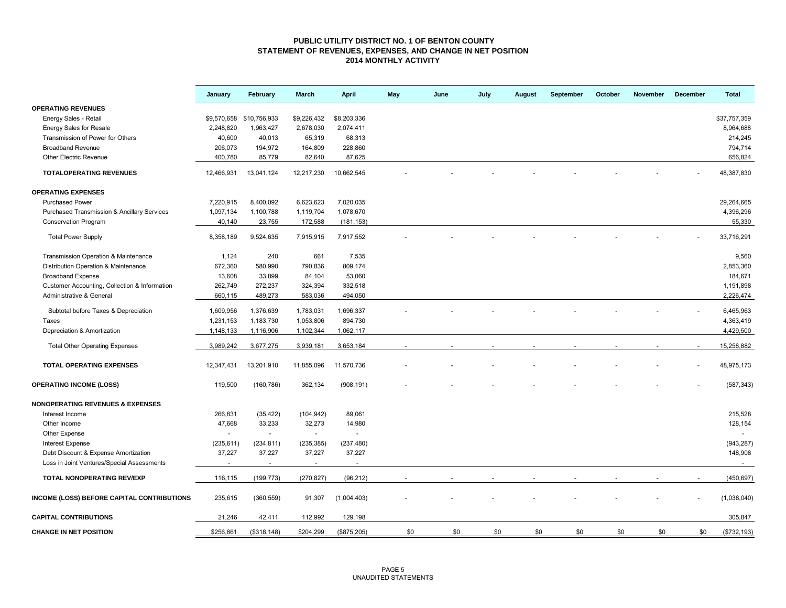### **PUBLIC UTILITY DISTRICT NO. 1 OF BENTON COUNTY STATEMENT OF REVENUES, EXPENSES, AND CHANGE IN NET POSITION 2014 MONTHLY ACTIVITY**

|                                               | January    | February                 | March          | <b>April</b> | May | June | July | August | September | October | November | December | <b>Total</b> |
|-----------------------------------------------|------------|--------------------------|----------------|--------------|-----|------|------|--------|-----------|---------|----------|----------|--------------|
| <b>OPERATING REVENUES</b>                     |            |                          |                |              |     |      |      |        |           |         |          |          |              |
| Energy Sales - Retail                         |            | \$9,570,658 \$10,756,933 | \$9,226,432    | \$8,203,336  |     |      |      |        |           |         |          |          | \$37,757,359 |
| <b>Energy Sales for Resale</b>                | 2,248,820  | 1,963,427                | 2,678,030      | 2,074,411    |     |      |      |        |           |         |          |          | 8,964,688    |
| Transmission of Power for Others              | 40,600     | 40,013                   | 65,319         | 68,313       |     |      |      |        |           |         |          |          | 214,245      |
| <b>Broadband Revenue</b>                      | 206,073    | 194,972                  | 164,809        | 228,860      |     |      |      |        |           |         |          |          | 794,714      |
| <b>Other Electric Revenue</b>                 | 400,780    | 85,779                   | 82,640         | 87,625       |     |      |      |        |           |         |          |          | 656,824      |
| <b>TOTALOPERATING REVENUES</b>                | 12,466,931 | 13,041,124               | 12,217,230     | 10,662,545   |     |      |      |        |           |         |          |          | 48,387,830   |
| <b>OPERATING EXPENSES</b>                     |            |                          |                |              |     |      |      |        |           |         |          |          |              |
| <b>Purchased Power</b>                        | 7,220,915  | 8,400,092                | 6,623,623      | 7,020,035    |     |      |      |        |           |         |          |          | 29,264,665   |
| Purchased Transmission & Ancillary Services   | 1,097,134  | 1,100,788                | 1,119,704      | 1,078,670    |     |      |      |        |           |         |          |          | 4,396,296    |
| <b>Conservation Program</b>                   | 40,140     | 23,755                   | 172,588        | (181, 153)   |     |      |      |        |           |         |          |          | 55,330       |
| <b>Total Power Supply</b>                     | 8,358,189  | 9,524,635                | 7,915,915      | 7,917,552    |     |      |      |        |           |         |          |          | 33,716,291   |
| Transmission Operation & Maintenance          | 1,124      | 240                      | 661            | 7,535        |     |      |      |        |           |         |          |          | 9,560        |
| Distribution Operation & Maintenance          | 672,360    | 580,990                  | 790,836        | 809,174      |     |      |      |        |           |         |          |          | 2,853,360    |
| <b>Broadband Expense</b>                      | 13,608     | 33,899                   | 84,104         | 53,060       |     |      |      |        |           |         |          |          | 184,671      |
| Customer Accounting, Collection & Information | 262,749    | 272,237                  | 324,394        | 332,518      |     |      |      |        |           |         |          |          | 1,191,898    |
| Administrative & General                      | 660,115    | 489,273                  | 583,036        | 494,050      |     |      |      |        |           |         |          |          | 2,226,474    |
| Subtotal before Taxes & Depreciation          | 1,609,956  | 1,376,639                | 1,783,031      | 1,696,337    |     |      |      |        |           |         |          |          | 6,465,963    |
| Taxes                                         | 1,231,153  | 1,183,730                | 1,053,806      | 894,730      |     |      |      |        |           |         |          |          | 4,363,419    |
| Depreciation & Amortization                   | 1,148,133  | 1,116,906                | 1,102,344      | 1,062,117    |     |      |      |        |           |         |          |          | 4,429,500    |
|                                               |            |                          |                |              |     |      |      |        |           |         |          |          |              |
| <b>Total Other Operating Expenses</b>         | 3,989,242  | 3,677,275                | 3,939,181      | 3,653,184    |     |      |      |        |           |         |          |          | 15,258,882   |
| <b>TOTAL OPERATING EXPENSES</b>               | 12,347,431 | 13,201,910               | 11,855,096     | 11,570,736   |     |      |      |        |           |         |          |          | 48,975,173   |
| <b>OPERATING INCOME (LOSS)</b>                | 119,500    | (160, 786)               | 362,134        | (908, 191)   |     |      |      |        |           |         |          |          | (587, 343)   |
| <b>NONOPERATING REVENUES &amp; EXPENSES</b>   |            |                          |                |              |     |      |      |        |           |         |          |          |              |
| Interest Income                               | 266,831    | (35, 422)                | (104, 942)     | 89,061       |     |      |      |        |           |         |          |          | 215,528      |
| Other Income                                  | 47,668     | 33,233                   | 32,273         | 14,980       |     |      |      |        |           |         |          |          | 128,154      |
| Other Expense                                 |            |                          | $\sim$         |              |     |      |      |        |           |         |          |          |              |
| <b>Interest Expense</b>                       | (235, 611) | (234, 811)               | (235, 385)     | (237, 480)   |     |      |      |        |           |         |          |          | (943, 287)   |
| Debt Discount & Expense Amortization          | 37,227     | 37,227                   | 37,227         | 37,227       |     |      |      |        |           |         |          |          | 148,908      |
| Loss in Joint Ventures/Special Assessments    | $\sim$     | $\overline{\phantom{a}}$ | $\blacksquare$ | $\sim$       |     |      |      |        |           |         |          |          | $\sim$       |
| TOTAL NONOPERATING REV/EXP                    | 116,115    | (199, 773)               | (270, 827)     | (96, 212)    |     |      |      |        |           |         |          |          | (450, 697)   |
| INCOME (LOSS) BEFORE CAPITAL CONTRIBUTIONS    | 235,615    | (360, 559)               | 91,307         | (1,004,403)  |     |      |      |        |           |         |          |          | (1,038,040)  |
| <b>CAPITAL CONTRIBUTIONS</b>                  | 21,246     | 42,411                   | 112,992        | 129,198      |     |      |      |        |           |         |          |          | 305,847      |
| <b>CHANGE IN NET POSITION</b>                 | \$256.861  | (\$318, 148)             | \$204,299      | (\$875,205)  | \$0 | \$0  | \$0  | \$0    | \$0       | \$0     | \$0      | \$0      | (\$732, 193) |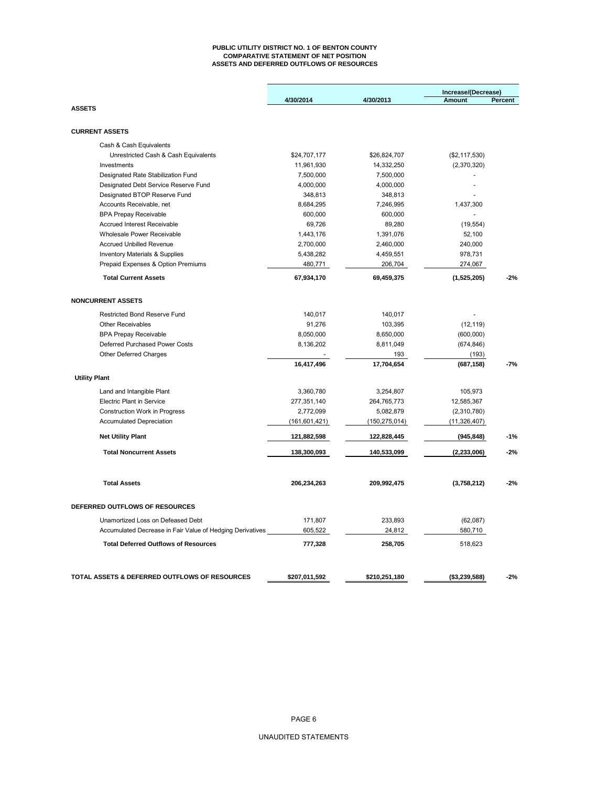#### **PUBLIC UTILITY DISTRICT NO. 1 OF BENTON COUNTY COMPARATIVE STATEMENT OF NET POSITION ASSETS AND DEFERRED OUTFLOWS OF RESOURCES**

|             |                                                                                                                                                                                                                                                                                                    | Increase/(Decrease)                                                                                                                                                                                                                                     |                                                                                                                                                                                              |  |
|-------------|----------------------------------------------------------------------------------------------------------------------------------------------------------------------------------------------------------------------------------------------------------------------------------------------------|---------------------------------------------------------------------------------------------------------------------------------------------------------------------------------------------------------------------------------------------------------|----------------------------------------------------------------------------------------------------------------------------------------------------------------------------------------------|--|
|             |                                                                                                                                                                                                                                                                                                    | Percent<br>Amount                                                                                                                                                                                                                                       |                                                                                                                                                                                              |  |
|             |                                                                                                                                                                                                                                                                                                    |                                                                                                                                                                                                                                                         |                                                                                                                                                                                              |  |
|             |                                                                                                                                                                                                                                                                                                    |                                                                                                                                                                                                                                                         |                                                                                                                                                                                              |  |
|             |                                                                                                                                                                                                                                                                                                    |                                                                                                                                                                                                                                                         |                                                                                                                                                                                              |  |
|             |                                                                                                                                                                                                                                                                                                    |                                                                                                                                                                                                                                                         |                                                                                                                                                                                              |  |
|             |                                                                                                                                                                                                                                                                                                    |                                                                                                                                                                                                                                                         |                                                                                                                                                                                              |  |
|             |                                                                                                                                                                                                                                                                                                    | ÷,                                                                                                                                                                                                                                                      |                                                                                                                                                                                              |  |
|             |                                                                                                                                                                                                                                                                                                    | $\blacksquare$                                                                                                                                                                                                                                          |                                                                                                                                                                                              |  |
| 348,813     |                                                                                                                                                                                                                                                                                                    |                                                                                                                                                                                                                                                         |                                                                                                                                                                                              |  |
| 8,684,295   | 7,246,995                                                                                                                                                                                                                                                                                          | 1,437,300                                                                                                                                                                                                                                               |                                                                                                                                                                                              |  |
|             |                                                                                                                                                                                                                                                                                                    |                                                                                                                                                                                                                                                         |                                                                                                                                                                                              |  |
|             |                                                                                                                                                                                                                                                                                                    |                                                                                                                                                                                                                                                         |                                                                                                                                                                                              |  |
| 1,443,176   | 1,391,076                                                                                                                                                                                                                                                                                          | 52,100                                                                                                                                                                                                                                                  |                                                                                                                                                                                              |  |
| 2,700,000   | 2,460,000                                                                                                                                                                                                                                                                                          | 240,000                                                                                                                                                                                                                                                 |                                                                                                                                                                                              |  |
| 5,438,282   | 4,459,551                                                                                                                                                                                                                                                                                          | 978,731                                                                                                                                                                                                                                                 |                                                                                                                                                                                              |  |
| 480,771     | 206,704                                                                                                                                                                                                                                                                                            | 274,067                                                                                                                                                                                                                                                 |                                                                                                                                                                                              |  |
| 67,934,170  | 69,459,375                                                                                                                                                                                                                                                                                         | (1,525,205)                                                                                                                                                                                                                                             | $-2%$                                                                                                                                                                                        |  |
|             |                                                                                                                                                                                                                                                                                                    |                                                                                                                                                                                                                                                         |                                                                                                                                                                                              |  |
|             |                                                                                                                                                                                                                                                                                                    |                                                                                                                                                                                                                                                         |                                                                                                                                                                                              |  |
|             |                                                                                                                                                                                                                                                                                                    |                                                                                                                                                                                                                                                         |                                                                                                                                                                                              |  |
|             |                                                                                                                                                                                                                                                                                                    |                                                                                                                                                                                                                                                         |                                                                                                                                                                                              |  |
|             |                                                                                                                                                                                                                                                                                                    |                                                                                                                                                                                                                                                         |                                                                                                                                                                                              |  |
|             |                                                                                                                                                                                                                                                                                                    |                                                                                                                                                                                                                                                         |                                                                                                                                                                                              |  |
|             |                                                                                                                                                                                                                                                                                                    |                                                                                                                                                                                                                                                         | $-7%$                                                                                                                                                                                        |  |
|             |                                                                                                                                                                                                                                                                                                    |                                                                                                                                                                                                                                                         |                                                                                                                                                                                              |  |
|             |                                                                                                                                                                                                                                                                                                    |                                                                                                                                                                                                                                                         |                                                                                                                                                                                              |  |
| 3,360,780   | 3,254,807                                                                                                                                                                                                                                                                                          | 105,973                                                                                                                                                                                                                                                 |                                                                                                                                                                                              |  |
| 277,351,140 | 264,765,773                                                                                                                                                                                                                                                                                        | 12,585,367                                                                                                                                                                                                                                              |                                                                                                                                                                                              |  |
|             |                                                                                                                                                                                                                                                                                                    |                                                                                                                                                                                                                                                         |                                                                                                                                                                                              |  |
|             |                                                                                                                                                                                                                                                                                                    |                                                                                                                                                                                                                                                         |                                                                                                                                                                                              |  |
| 121,882,598 | 122,828,445                                                                                                                                                                                                                                                                                        | (945, 848)                                                                                                                                                                                                                                              | $-1%$                                                                                                                                                                                        |  |
| 138,300,093 | 140,533,099                                                                                                                                                                                                                                                                                        | (2, 233, 006)                                                                                                                                                                                                                                           | $-2%$                                                                                                                                                                                        |  |
| 206,234,263 | 209,992,475                                                                                                                                                                                                                                                                                        | (3,758,212)                                                                                                                                                                                                                                             | $-2%$                                                                                                                                                                                        |  |
|             |                                                                                                                                                                                                                                                                                                    |                                                                                                                                                                                                                                                         |                                                                                                                                                                                              |  |
|             |                                                                                                                                                                                                                                                                                                    |                                                                                                                                                                                                                                                         |                                                                                                                                                                                              |  |
|             |                                                                                                                                                                                                                                                                                                    |                                                                                                                                                                                                                                                         |                                                                                                                                                                                              |  |
|             |                                                                                                                                                                                                                                                                                                    |                                                                                                                                                                                                                                                         |                                                                                                                                                                                              |  |
|             |                                                                                                                                                                                                                                                                                                    |                                                                                                                                                                                                                                                         |                                                                                                                                                                                              |  |
|             |                                                                                                                                                                                                                                                                                                    |                                                                                                                                                                                                                                                         | $-2%$                                                                                                                                                                                        |  |
|             | 4/30/2014<br>\$24,707,177<br>11,961,930<br>7,500,000<br>4,000,000<br>600,000<br>69,726<br>140,017<br>91,276<br>8,050,000<br>8,136,202<br>16,417,496<br>2,772,099<br>(161, 601, 421)<br>171,807<br>Accumulated Decrease in Fair Value of Hedging Derivatives<br>605,522<br>777,328<br>\$207,011,592 | 4/30/2013<br>\$26,824,707<br>14,332,250<br>7,500,000<br>4,000,000<br>348,813<br>600,000<br>89,280<br>140,017<br>103,395<br>8,650,000<br>8,811,049<br>193<br>17,704,654<br>5,082,879<br>(150, 275, 014)<br>233,893<br>24,812<br>258,705<br>\$210,251,180 | (\$2,117,530)<br>(2,370,320)<br>(19, 554)<br>(12, 119)<br>(600,000)<br>(674, 846)<br>(193)<br>(687, 158)<br>(2,310,780)<br>(11, 326, 407)<br>(62,087)<br>580,710<br>518,623<br>(\$3,239,588) |  |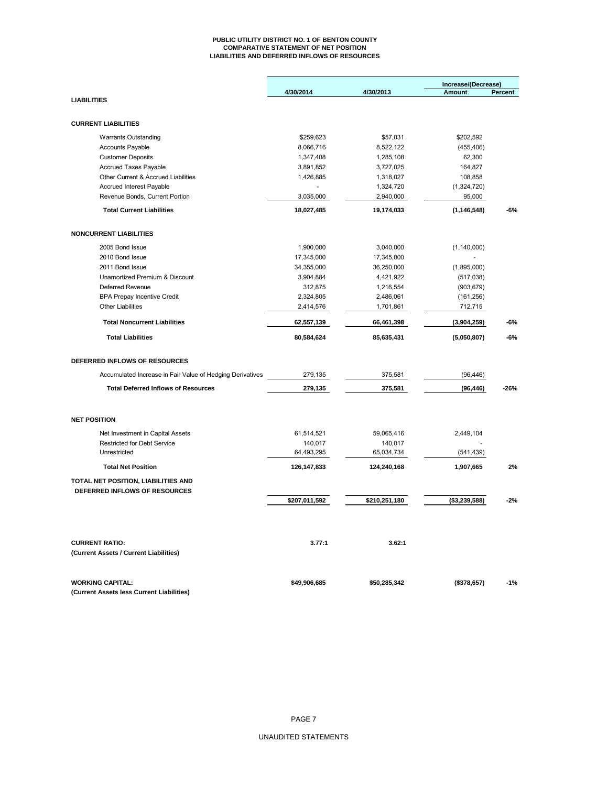#### **PUBLIC UTILITY DISTRICT NO. 1 OF BENTON COUNTY COMPARATIVE STATEMENT OF NET POSITION LIABILITIES AND DEFERRED INFLOWS OF RESOURCES**

|                                                           |               |               | Increase/(Decrease)   |                |
|-----------------------------------------------------------|---------------|---------------|-----------------------|----------------|
|                                                           | 4/30/2014     | 4/30/2013     | <b>Amount</b>         | <b>Percent</b> |
| <b>LIABILITIES</b>                                        |               |               |                       |                |
| <b>CURRENT LIABILITIES</b>                                |               |               |                       |                |
|                                                           |               |               |                       |                |
| <b>Warrants Outstanding</b>                               | \$259,623     | \$57,031      | \$202,592             |                |
| <b>Accounts Payable</b>                                   | 8,066,716     | 8,522,122     | (455, 406)            |                |
| <b>Customer Deposits</b>                                  | 1,347,408     | 1,285,108     | 62,300                |                |
| <b>Accrued Taxes Payable</b>                              | 3,891,852     | 3,727,025     | 164,827               |                |
| Other Current & Accrued Liabilities                       | 1,426,885     | 1,318,027     | 108,858               |                |
| <b>Accrued Interest Payable</b>                           |               | 1,324,720     | (1,324,720)<br>95,000 |                |
| Revenue Bonds, Current Portion                            | 3,035,000     | 2,940,000     |                       |                |
| <b>Total Current Liabilities</b>                          | 18,027,485    | 19,174,033    | (1, 146, 548)         | -6%            |
| <b>NONCURRENT LIABILITIES</b>                             |               |               |                       |                |
| 2005 Bond Issue                                           | 1,900,000     | 3,040,000     | (1, 140, 000)         |                |
| 2010 Bond Issue                                           | 17,345,000    | 17,345,000    |                       |                |
| 2011 Bond Issue                                           | 34,355,000    | 36,250,000    | (1,895,000)           |                |
| Unamortized Premium & Discount                            | 3,904,884     | 4,421,922     | (517, 038)            |                |
| Deferred Revenue                                          | 312,875       | 1,216,554     | (903, 679)            |                |
| <b>BPA Prepay Incentive Credit</b>                        | 2,324,805     | 2,486,061     | (161, 256)            |                |
| <b>Other Liabilities</b>                                  | 2,414,576     | 1,701,861     | 712,715               |                |
| <b>Total Noncurrent Liabilities</b>                       | 62,557,139    | 66,461,398    | (3,904,259)           | -6%            |
|                                                           |               |               |                       |                |
| <b>Total Liabilities</b>                                  | 80,584,624    | 85,635,431    | (5,050,807)           | -6%            |
| DEFERRED INFLOWS OF RESOURCES                             |               |               |                       |                |
| Accumulated Increase in Fair Value of Hedging Derivatives | 279,135       | 375,581       | (96, 446)             |                |
| <b>Total Deferred Inflows of Resources</b>                | 279,135       | 375,581       | (96, 446)             | -26%           |
| <b>NET POSITION</b>                                       |               |               |                       |                |
| Net Investment in Capital Assets                          | 61,514,521    | 59,065,416    | 2,449,104             |                |
| <b>Restricted for Debt Service</b>                        | 140,017       | 140,017       |                       |                |
| Unrestricted                                              | 64,493,295    | 65,034,734    | (541, 439)            |                |
| <b>Total Net Position</b>                                 | 126, 147, 833 | 124,240,168   | 1,907,665             | 2%             |
| TOTAL NET POSITION, LIABILITIES AND                       |               |               |                       |                |
| DEFERRED INFLOWS OF RESOURCES                             |               |               |                       |                |
|                                                           | \$207,011,592 | \$210,251,180 | (\$3,239,588)         | $-2%$          |
|                                                           |               |               |                       |                |
| <b>CURRENT RATIO:</b>                                     | 3.77:1        | 3.62:1        |                       |                |
| (Current Assets / Current Liabilities)                    |               |               |                       |                |
| <b>WORKING CAPITAL:</b>                                   | \$49,906,685  | \$50,285,342  | (\$378,657)           | $-1%$          |
| (Current Assets less Current Liabilities)                 |               |               |                       |                |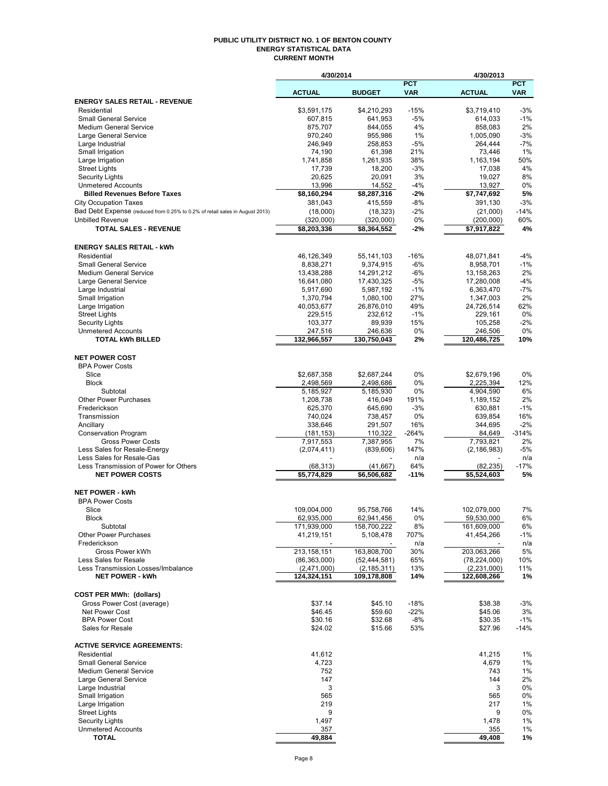#### **PUBLIC UTILITY DISTRICT NO. 1 OF BENTON COUNTY ENERGY STATISTICAL DATA CURRENT MONTH**

|                                                                              | 4/30/2014                |                         |              | 4/30/2013                  |             |
|------------------------------------------------------------------------------|--------------------------|-------------------------|--------------|----------------------------|-------------|
|                                                                              |                          |                         | <b>PCT</b>   |                            | <b>PCT</b>  |
|                                                                              | <b>ACTUAL</b>            | <b>BUDGET</b>           | <b>VAR</b>   | <b>ACTUAL</b>              | <b>VAR</b>  |
| <b>ENERGY SALES RETAIL - REVENUE</b><br>Residential                          | \$3,591,175              | \$4,210,293             | $-15%$       | \$3,719,410                | $-3%$       |
| <b>Small General Service</b>                                                 | 607,815                  | 641,953                 | $-5%$        | 614,033                    | $-1%$       |
| <b>Medium General Service</b>                                                | 875,707                  | 844,055                 | 4%           | 858,083                    | 2%          |
| Large General Service                                                        | 970,240                  | 955,986                 | 1%           | 1,005,090                  | $-3%$       |
| Large Industrial                                                             | 246,949                  | 258,853                 | $-5%$        | 264.444                    | $-7%$       |
| Small Irrigation                                                             | 74,190                   | 61,398                  | 21%          | 73,446                     | 1%          |
| Large Irrigation                                                             | 1,741,858                | 1,261,935               | 38%          | 1,163,194                  | 50%         |
| <b>Street Lights</b><br><b>Security Lights</b>                               | 17,739<br>20,625         | 18,200<br>20,091        | $-3%$<br>3%  | 17,038<br>19,027           | 4%<br>8%    |
| <b>Unmetered Accounts</b>                                                    | 13,996                   | 14,552                  | $-4%$        | 13,927                     | 0%          |
| <b>Billed Revenues Before Taxes</b>                                          | \$8,160,294              | \$8,287,316             | -2%          | \$7,747,692                | 5%          |
| <b>City Occupation Taxes</b>                                                 | 381,043                  | 415,559                 | -8%          | 391,130                    | $-3%$       |
| Bad Debt Expense (reduced from 0.25% to 0.2% of retail sales in August 2013) | (18,000)                 | (18, 323)               | $-2%$        | (21,000)                   | $-14%$      |
| <b>Unbilled Revenue</b>                                                      | (320,000)                | (320,000)               | 0%           | (200,000)                  | 60%         |
| <b>TOTAL SALES - REVENUE</b>                                                 | \$8,203,336              | $\overline{88,}364,552$ | -2%          | $\overline{57,}917,822$    | 4%          |
| <b>ENERGY SALES RETAIL - kWh</b>                                             |                          |                         |              |                            |             |
| Residential                                                                  | 46,126,349               | 55,141,103              | $-16%$       | 48,071,841                 | $-4%$       |
| <b>Small General Service</b>                                                 | 8,838,271                | 9,374,915               | $-6%$        | 8,958,701                  | $-1%$       |
| <b>Medium General Service</b>                                                | 13,438,288               | 14,291,212              | $-6%$        | 13,158,263                 | 2%          |
| Large General Service                                                        | 16,641,080               | 17,430,325              | $-5%$        | 17,280,008                 | $-4%$       |
| Large Industrial                                                             | 5,917,690                | 5,987,192               | $-1%$        | 6,363,470                  | $-7%$       |
| Small Irrigation                                                             | 1,370,794                | 1,080,100               | 27%          | 1,347,003                  | 2%          |
| Large Irrigation                                                             | 40,053,677               | 26,876,010              | 49%          | 24,726,514                 | 62%         |
| <b>Street Lights</b><br><b>Security Lights</b>                               | 229,515<br>103,377       | 232,612<br>89,939       | $-1%$<br>15% | 229,161<br>105,258         | 0%<br>$-2%$ |
| <b>Unmetered Accounts</b>                                                    | 247,516                  | 246,636                 | 0%           | 246,506                    | 0%          |
| <b>TOTAL kWh BILLED</b>                                                      | 132,966,557              | 130,750,043             | 2%           | 120,486,725                | 10%         |
|                                                                              |                          |                         |              |                            |             |
| <b>NET POWER COST</b>                                                        |                          |                         |              |                            |             |
| <b>BPA Power Costs</b><br>Slice                                              | \$2,687,358              | \$2,687,244             | 0%           | \$2,679,196                | 0%          |
| <b>Block</b>                                                                 | 2,498,569                | 2,498,686               | 0%           | 2,225,394                  | 12%         |
| Subtotal                                                                     | 5,185,927                | 5,185,930               | 0%           | 4,904,590                  | 6%          |
| <b>Other Power Purchases</b>                                                 | 1,208,738                | 416,049                 | 191%         | 1,189,152                  | 2%          |
| Frederickson                                                                 | 625,370                  | 645,690                 | $-3%$        | 630,881                    | $-1%$       |
| Transmission                                                                 | 740,024                  | 738,457                 | 0%           | 639,854                    | 16%         |
| Ancillary                                                                    | 338,646                  | 291,507                 | 16%          | 344,695                    | $-2%$       |
| <b>Conservation Program</b>                                                  | (181, 153)               | 110,322                 | $-264%$      | 84,649                     | $-314%$     |
| <b>Gross Power Costs</b><br>Less Sales for Resale-Energy                     | 7,917,553<br>(2,074,411) | 7,387,955<br>(839, 606) | 7%<br>147%   | 7,793,821<br>(2, 186, 983) | 2%<br>$-5%$ |
| Less Sales for Resale-Gas                                                    |                          |                         | n/a          |                            | n/a         |
| Less Transmission of Power for Others                                        | (68, 313)                | (41,667)                | 64%          | (82, 235)                  | $-17%$      |
| <b>NET POWER COSTS</b>                                                       | \$5,774,829              | \$6,506,682             | $-11%$       | \$5,524,603                | 5%          |
| <b>NET POWER - kWh</b>                                                       |                          |                         |              |                            |             |
| <b>BPA Power Costs</b>                                                       |                          |                         |              |                            |             |
| Slice                                                                        | 109.004.000              | 95,758,766              | 14%          | 102,079,000                | 7%          |
| Block                                                                        | 62,935,000               | 62,941,456              | 0%           | 59,530,000                 | 6%          |
| Subtotal                                                                     | 171,939,000              | 158,700,222             | 8%           | 161,609,000                | 6%          |
| <b>Other Power Purchases</b>                                                 | 41,219,151               | 5,108,478               | 707%         | 41,454,266                 | -1%         |
| Frederickson<br>Gross Power kWh                                              | 213,158,151              | 163,808,700             | n/a<br>30%   | 203,063,266                | n/a<br>5%   |
| Less Sales for Resale                                                        | (86, 363, 000)           | (52, 444, 581)          | 65%          | (78, 224, 000)             | 10%         |
| Less Transmission Losses/Imbalance                                           | (2,471,000)              | (2, 185, 311)           | 13%          | (2, 231, 000)              | 11%         |
| <b>NET POWER - kWh</b>                                                       | 124,324,151              | 109,178,808             | 14%          | 122,608,266                | 1%          |
|                                                                              |                          |                         |              |                            |             |
| <b>COST PER MWh: (dollars)</b>                                               | \$37.14                  | \$45.10                 | $-18%$       | \$38.38                    | $-3%$       |
| Gross Power Cost (average)<br>Net Power Cost                                 | \$46.45                  | \$59.60                 | $-22%$       | \$45.06                    | 3%          |
| <b>BPA Power Cost</b>                                                        | \$30.16                  | \$32.68                 | $-8%$        | \$30.35                    | $-1%$       |
| Sales for Resale                                                             | \$24.02                  | \$15.66                 | 53%          | \$27.96                    | $-14%$      |
|                                                                              |                          |                         |              |                            |             |
| <b>ACTIVE SERVICE AGREEMENTS:</b><br>Residential                             | 41,612                   |                         |              | 41,215                     | 1%          |
| <b>Small General Service</b>                                                 | 4,723                    |                         |              | 4,679                      | 1%          |
| <b>Medium General Service</b>                                                | 752                      |                         |              | 743                        | 1%          |
| Large General Service                                                        | 147                      |                         |              | 144                        | 2%          |
| Large Industrial                                                             | 3                        |                         |              | 3                          | 0%          |
| Small Irrigation                                                             | 565                      |                         |              | 565                        | 0%          |
| Large Irrigation                                                             | 219                      |                         |              | 217                        | 1%          |
| <b>Street Lights</b>                                                         | 9                        |                         |              | 9                          | 0%          |
| <b>Security Lights</b><br><b>Unmetered Accounts</b>                          | 1,497<br>357             |                         |              | 1,478<br>355               | 1%<br>1%    |
| <b>TOTAL</b>                                                                 | 49,884                   |                         |              | 49,408                     | 1%          |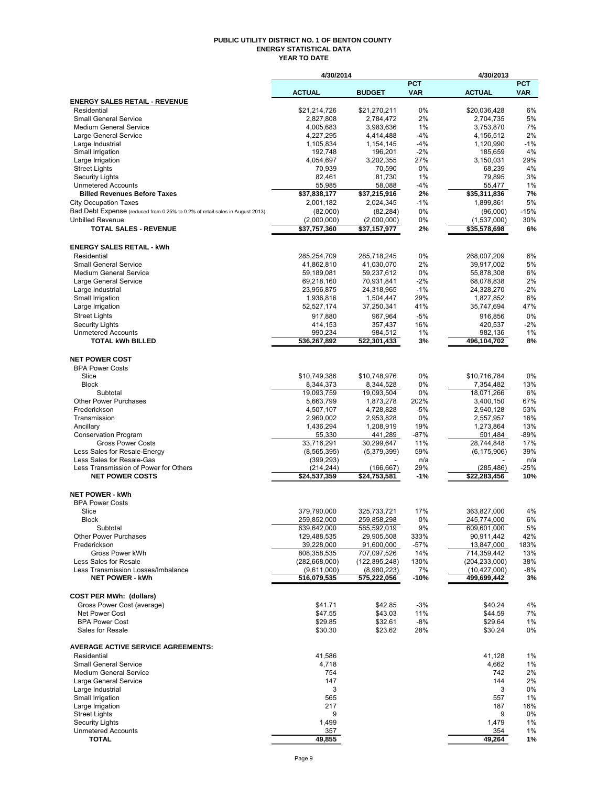#### **PUBLIC UTILITY DISTRICT NO. 1 OF BENTON COUNTY ENERGY STATISTICAL DATA YEAR TO DATE**

|                                                                              | 4/30/2014                      |                                        |                          | 4/30/2013                         |                          |
|------------------------------------------------------------------------------|--------------------------------|----------------------------------------|--------------------------|-----------------------------------|--------------------------|
|                                                                              | <b>ACTUAL</b>                  | <b>BUDGET</b>                          | <b>PCT</b><br><b>VAR</b> | <b>ACTUAL</b>                     | <b>PCT</b><br><b>VAR</b> |
| <b>ENERGY SALES RETAIL - REVENUE</b>                                         |                                |                                        |                          |                                   |                          |
| Residential                                                                  | \$21.214.726                   | \$21,270,211                           | 0%                       | \$20,036,428                      | 6%                       |
| <b>Small General Service</b>                                                 | 2,827,808                      | 2,784,472                              | 2%                       | 2,704,735                         | 5%                       |
| <b>Medium General Service</b>                                                | 4,005,683<br>4,227,295         | 3,983,636                              | 1%<br>$-4%$              | 3,753,870<br>4,156,512            | 7%<br>2%                 |
| Large General Service<br>Large Industrial                                    | 1,105,834                      | 4,414,488<br>1,154,145                 | -4%                      | 1,120,990                         | $-1%$                    |
| Small Irrigation                                                             | 192,748                        | 196,201                                | $-2%$                    | 185,659                           | 4%                       |
| Large Irrigation                                                             | 4,054,697                      | 3,202,355                              | 27%                      | 3,150,031                         | 29%                      |
| <b>Street Lights</b>                                                         | 70,939                         | 70,590                                 | 0%                       | 68,239                            | 4%                       |
| <b>Security Lights</b>                                                       | 82.461                         | 81,730                                 | 1%                       | 79,895                            | 3%                       |
| <b>Unmetered Accounts</b><br><b>Billed Revenues Before Taxes</b>             | 55,985<br>\$37,838,177         | 58,088<br>\$37,215,916                 | -4%<br>2%                | 55,477<br>\$35,311,836            | 1%<br>7%                 |
| <b>City Occupation Taxes</b>                                                 | 2,001,182                      | 2,024,345                              | $-1%$                    | 1,899,861                         | 5%                       |
| Bad Debt Expense (reduced from 0.25% to 0.2% of retail sales in August 2013) | (82,000)                       | (82, 284)                              | 0%                       | (96,000)                          | $-15%$                   |
| <b>Unbilled Revenue</b>                                                      | (2,000,000)                    | (2,000,000)                            | 0%                       | (1,537,000)                       | 30%                      |
| <b>TOTAL SALES - REVENUE</b>                                                 | \$37,757,360                   | \$37,157,977                           | 2%                       | \$35,578,698                      | 6%                       |
| <b>ENERGY SALES RETAIL - kWh</b>                                             |                                |                                        |                          |                                   |                          |
| Residential                                                                  | 285,254,709                    | 285,718,245                            | 0%                       | 268,007,209                       | 6%                       |
| <b>Small General Service</b>                                                 | 41,862,810                     | 41,030,070                             | 2%                       | 39,917,002                        | 5%                       |
| <b>Medium General Service</b>                                                | 59,189,081                     | 59,237,612                             | 0%                       | 55,878,308                        | 6%                       |
| Large General Service                                                        | 69,218,160                     | 70,931,841                             | $-2%$                    | 68,078,838                        | 2%                       |
| Large Industrial                                                             | 23,956,875                     | 24,318,965                             | $-1%$                    | 24,328,270                        | $-2%$                    |
| Small Irrigation                                                             | 1,936,816<br>52,527,174        | 1,504,447<br>37,250,341                | 29%<br>41%               | 1,827,852<br>35,747,694           | 6%<br>47%                |
| Large Irrigation                                                             |                                |                                        | $-5%$                    |                                   |                          |
| <b>Street Lights</b><br><b>Security Lights</b>                               | 917,880<br>414,153             | 967,964<br>357,437                     | 16%                      | 916.856<br>420,537                | 0%<br>$-2%$              |
| <b>Unmetered Accounts</b>                                                    | 990,234                        | 984,512                                | $1\%$                    | 982,136                           | 1%                       |
| <b>TOTAL kWh BILLED</b>                                                      | 536,267,892                    | 522,301,433                            | 3%                       | 496,104,702                       | 8%                       |
| <b>NET POWER COST</b>                                                        |                                |                                        |                          |                                   |                          |
| <b>BPA Power Costs</b>                                                       |                                |                                        |                          |                                   |                          |
| Slice                                                                        | \$10,749,386                   | \$10,748,976                           | 0%                       | \$10,716,784                      | 0%                       |
| <b>Block</b>                                                                 | 8,344,373                      | 8,344,528                              | 0%                       | 7,354,482                         | 13%                      |
| Subtotal                                                                     | 19,093,759                     | 19,093,504                             | 0%                       | 18,071,266                        | 6%                       |
| <b>Other Power Purchases</b>                                                 | 5,663,799                      | 1,873,278                              | 202%                     | 3,400,150                         | 67%                      |
| Frederickson<br>Transmission                                                 | 4,507,107                      | 4,728,828                              | $-5%$<br>0%              | 2,940,128                         | 53%<br>16%               |
| Ancillary                                                                    | 2,960,002<br>1,436,294         | 2,953,828<br>1,208,919                 | 19%                      | 2,557,957<br>1,273,864            | 13%                      |
| <b>Conservation Program</b>                                                  | 55,330                         | 441,289                                | $-87%$                   | 501,484                           | -89%                     |
| <b>Gross Power Costs</b>                                                     | 33,716,291                     | 30,299,647                             | 11%                      | 28,744,848                        | 17%                      |
| Less Sales for Resale-Energy                                                 | (8, 565, 395)                  | (5,379,399)                            | 59%                      | (6, 175, 906)                     | 39%                      |
| Less Sales for Resale-Gas                                                    | (399, 293)                     |                                        | n/a                      |                                   | n/a                      |
| Less Transmission of Power for Others<br><b>NET POWER COSTS</b>              | (214, 244)<br>\$24,537,359     | (166, 667)<br>$\overline{$24,753,581}$ | 29%<br>$-1%$             | (285, 486)<br>\$22,283,456        | $-25%$<br>10%            |
|                                                                              |                                |                                        |                          |                                   |                          |
| <b>NET POWER - kWh</b><br><b>BPA Power Costs</b>                             |                                |                                        |                          |                                   |                          |
| Slice                                                                        | 379,790,000                    | 325,733,721                            | 17%                      | 363,827,000                       | 4%                       |
| Block                                                                        | 259,852,000                    | 259,858,298                            | $0\%$                    | 245,774,000                       | 6%                       |
| Subtotal                                                                     | 639,642,000                    | 585,592,019                            | 9%                       | 609,601,000                       | 5%                       |
| <b>Other Power Purchases</b>                                                 | 129,488,535                    | 29,905,508                             | 333%                     | 90,911,442                        | 42%                      |
| Frederickson                                                                 | 39,228,000                     | 91,600,000                             | $-57%$                   | 13,847,000                        | 183%                     |
| Gross Power kWh                                                              | 808,358,535                    | 707.097.526                            | 14%                      | 714,359,442                       | 13%                      |
| Less Sales for Resale<br>Less Transmission Losses/Imbalance                  | (282, 668, 000)<br>(9,611,000) | (122, 895, 248)<br>(8,980,223)         | 130%<br>7%               | (204, 233, 000)<br>(10, 427, 000) | 38%<br>$-8%$             |
| <b>NET POWER - kWh</b>                                                       | 516,079,535                    | 575,222,056                            | -10%                     | 499,699,442                       | 3%                       |
|                                                                              |                                |                                        |                          |                                   |                          |
| <b>COST PER MWh: (dollars)</b><br>Gross Power Cost (average)                 | \$41.71                        | \$42.85                                | $-3%$                    | \$40.24                           | 4%                       |
| Net Power Cost                                                               | \$47.55                        | \$43.03                                | 11%                      | \$44.59                           | 7%                       |
| <b>BPA Power Cost</b>                                                        | \$29.85                        | \$32.61                                | $-8%$                    | \$29.64                           | 1%                       |
| Sales for Resale                                                             | \$30.30                        | \$23.62                                | 28%                      | \$30.24                           | 0%                       |
| <b>AVERAGE ACTIVE SERVICE AGREEMENTS:</b>                                    |                                |                                        |                          |                                   |                          |
| Residential                                                                  | 41,586                         |                                        |                          | 41,128                            | 1%                       |
| <b>Small General Service</b>                                                 | 4,718                          |                                        |                          | 4,662                             | 1%                       |
| <b>Medium General Service</b>                                                | 754                            |                                        |                          | 742                               | 2%                       |
| Large General Service                                                        | 147                            |                                        |                          | 144                               | 2%                       |
| Large Industrial                                                             | 3                              |                                        |                          | 3                                 | 0%                       |
| Small Irrigation<br>Large Irrigation                                         | 565<br>217                     |                                        |                          | 557<br>187                        | 1%<br>16%                |
| <b>Street Lights</b>                                                         | 9                              |                                        |                          | 9                                 | 0%                       |
| Security Lights                                                              | 1,499                          |                                        |                          | 1,479                             | 1%                       |
| <b>Unmetered Accounts</b>                                                    | 357                            |                                        |                          | 354                               | 1%                       |
| <b>TOTAL</b>                                                                 | 49,855                         |                                        |                          | 49,264                            | 1%                       |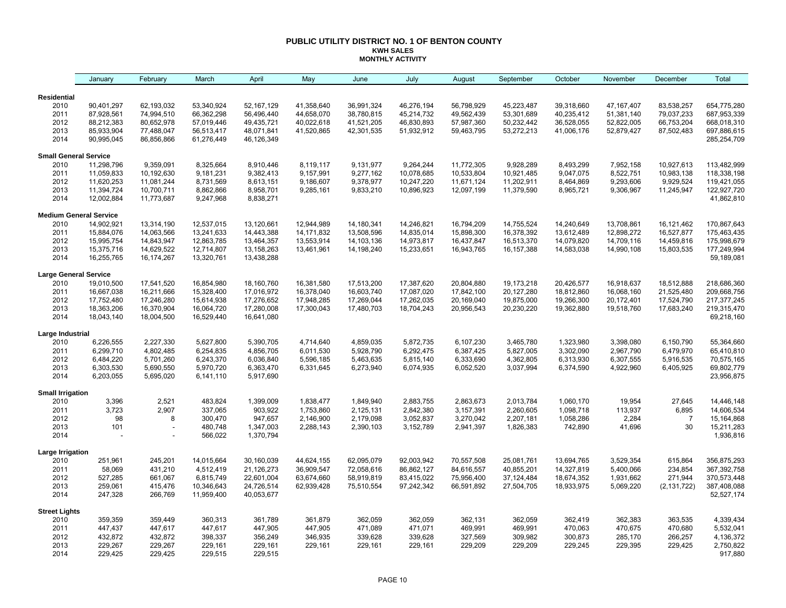#### **PUBLIC UTILITY DISTRICT NO. 1 OF BENTON COUNTY KWH SALES MONTHLY ACTIVITY**

| <b>Residential</b><br>2010<br>90,401,297<br>62,193,032<br>53,340,924<br>52,167,129<br>41,358,640<br>36,991,324<br>46,276,194<br>56,798,929<br>45,223,487<br>39,318,660<br>47, 167, 407<br>83,538,257<br>654,775,280<br>2011<br>87,928,561<br>74,994,510<br>66,362,298<br>56,496,440<br>44,658,070<br>38,780,815<br>45,214,732<br>49,562,439<br>53,301,689<br>40,235,412<br>51,381,140<br>79,037,233<br>687,953,339<br>2012<br>88,212,383<br>80,652,978<br>57,019,446<br>49,435,721<br>40,022,618<br>41,521,205<br>46,830,893<br>57,987,360<br>50,232,442<br>36,528,055<br>52,822,005<br>66,753,204<br>668,018,310<br>2013<br>85,933,904<br>77,488,047<br>48,071,841<br>41,520,865<br>42,301,535<br>51,932,912<br>59,463,795<br>53,272,213<br>52,879,427<br>87,502,483<br>697,886,615<br>56,513,417<br>41,006,176<br>2014<br>90,995,045<br>46,126,349<br>285,254,709<br>86,856,866<br>61,276,449<br><b>Small General Service</b><br>9,928,289<br>113,482,999<br>2010<br>11,298,796<br>9,359,091<br>8,325,664<br>8,910,446<br>8,119,117<br>9,131,977<br>9,264,244<br>11,772,305<br>8,493,299<br>7,952,158<br>10,927,613<br>2011<br>11,059,833<br>9,181,231<br>9,382,413<br>9,157,991<br>9,277,162<br>10,533,804<br>10,921,485<br>9,047,075<br>8,522,751<br>10,983,138<br>118,338,198<br>10,192,630<br>10,078,685<br>2012<br>11,620,253<br>11,081,244<br>8,731,569<br>11,202,911<br>8,464,869<br>9,293,606<br>9,929,524<br>119,421,055<br>8,613,151<br>9,186,607<br>9,378,977<br>10,247,220<br>11,671,124<br>2013<br>11,394,724<br>10,700,711<br>8,958,701<br>9,285,161<br>9,833,210<br>10,896,923<br>12,097,199<br>11,379,590<br>9,306,967<br>11,245,947<br>122,927,720<br>8,862,866<br>8,965,721<br>2014<br>12,002,884<br>11,773,687<br>8,838,271<br>41,862,810<br>9,247,968<br><b>Medium General Service</b><br>2010<br>14,902,921<br>13,314,190<br>12,537,015<br>13,120,661<br>12,944,989<br>14,180,341<br>14,246,821<br>16,794,209<br>14,755,524<br>14,240,649<br>13,708,861<br>16,121,462<br>170,867,643<br>2011<br>14,063,566<br>13,241,633<br>14,443,388<br>14,171,832<br>13,508,596<br>14,835,014<br>15,898,300<br>16,378,392<br>13,612,489<br>12,898,272<br>16,527,877<br>175,463,435<br>15,884,076<br>2012<br>15,995,754<br>14,843,947<br>12,863,785<br>13,464,357<br>16,513,370<br>14,459,816<br>175,998,679<br>13,553,914<br>14,103,136<br>14,973,817<br>16,437,847<br>14,079,820<br>14,709,116<br>2013<br>15,375,716<br>14,629,522<br>12,714,807<br>13,158,263<br>13,461,961<br>14,198,240<br>15,233,651<br>16,943,765<br>16, 157, 388<br>14,583,038<br>14,990,108<br>15,803,535<br>177,249,994<br>2014<br>13,438,288<br>16,255,765<br>16,174,267<br>13,320,761<br>59,189,081<br><b>Large General Service</b><br>218,686,360<br>2010<br>17,541,520<br>16,854,980<br>18,160,760<br>16,381,580<br>17,513,200<br>17,387,620<br>20,804,880<br>19,173,218<br>20,426,577<br>16,918,637<br>18,512,888<br>19,010,500<br>2011<br>21,525,480<br>16,667,038<br>16,211,666<br>15,328,400<br>17,016,972<br>16,378,040<br>16,603,740<br>17,087,020<br>17,842,100<br>20,127,280<br>18,812,860<br>16,068,160<br>209,668,756<br>2012<br>17,276,652<br>17,262,035<br>17,752,480<br>17,246,280<br>15,614,938<br>17,948,285<br>17,269,044<br>20,169,040<br>19,875,000<br>19,266,300<br>20,172,401<br>17,524,790<br>217, 377, 245<br>2013<br>219,315,470<br>18,363,206<br>16,370,904<br>16,064,720<br>17,280,008<br>17,300,043<br>17,480,703<br>18,704,243<br>20,956,543<br>20,230,220<br>19,362,880<br>19,518,760<br>17,683,240<br>2014<br>18,043,140<br>18,004,500<br>16,529,440<br>16,641,080<br>69,218,160<br>Large Industrial<br>6,226,555<br>2,227,330<br>5,627,800<br>4,859,035<br>5,872,735<br>3,465,780<br>1,323,980<br>3,398,080<br>55,364,660<br>2010<br>5,390,705<br>4,714,640<br>6,107,230<br>6,150,790<br>2011<br>6,299,710<br>4,802,485<br>6,254,835<br>4,856,705<br>6,011,530<br>5,928,790<br>6,292,475<br>6,387,425<br>5,827,005<br>3,302,090<br>2,967,790<br>6,479,970<br>65,410,810<br>70,575,165<br>2012<br>6,484,220<br>5,701,260<br>6,243,370<br>6,036,840<br>5,815,140<br>4,362,805<br>6,307,555<br>5,916,535<br>5,596,185<br>5,463,635<br>6,333,690<br>6,313,930<br>69,802,779<br>2013<br>6,303,530<br>5,690,550<br>5,970,720<br>6,363,470<br>6,331,645<br>6,273,940<br>6,074,935<br>6,052,520<br>3,037,994<br>6,374,590<br>4,922,960<br>6,405,925<br>2014<br>6,203,055<br>5,695,020<br>6,141,110<br>5,917,690<br>23,956,875<br><b>Small Irrigation</b><br>3,396<br>2,521<br>483,824<br>1,399,009<br>1,849,940<br>2,883,755<br>19,954<br>27,645<br>14,446,148<br>2010<br>1,838,477<br>2,863,673<br>2,013,784<br>1,060,170<br>3,723<br>2,907<br>337,065<br>903,922<br>2011<br>1,753,860<br>2,125,131<br>2,842,380<br>2,260,605<br>1,098,718<br>113,937<br>6,895<br>14,606,534<br>3,157,391<br>98<br>947,657<br>2,146,900<br>15,164,868<br>2012<br>300,470<br>2,179,098<br>3,052,837<br>3,270,042<br>2,207,181<br>1,058,286<br>2,284<br>$\overline{7}$<br>8<br>2013<br>1,347,003<br>30<br>15,211,283<br>101<br>480,748<br>2,288,143<br>2,390,103<br>3,152,789<br>2,941,397<br>1,826,383<br>742,890<br>41,696<br>2014<br>566,022<br>1,370,794<br>1,936,816<br>Large Irrigation<br>2010<br>251,961<br>245,201<br>14,015,664<br>30,160,039<br>62,095,079<br>92,003,942<br>25,081,761<br>3,529,354<br>615,864<br>356,875,293<br>44,624,155<br>70,557,508<br>13,694,765<br>2011<br>58,069<br>431,210<br>4,512,419<br>21,126,273<br>36,909,547<br>86,862,127<br>5,400,066<br>234,854<br>367,392,758<br>72,058,616<br>84,616,557<br>40,855,201<br>14,327,819<br>2012<br>527,285<br>661,067<br>22,601,004<br>75,956,400<br>18,674,352<br>271,944<br>370,573,448<br>6,815,749<br>63,674,660<br>58,919,819<br>83,415,022<br>37,124,484<br>1,931,662<br>2013<br>259,061<br>415,476<br>10,346,643<br>24,726,514<br>387,408,088<br>62,939,428<br>75,510,554<br>97,242,342<br>66,591,892<br>27,504,705<br>18,933,975<br>5,069,220<br>(2, 131, 722)<br>2014<br>247,328<br>266,769<br>11,959,400<br>40,053,677<br>52,527,174<br><b>Street Lights</b><br>359,449<br>360,313<br>362,059<br>362,059<br>362,059<br>362,419<br>362,383<br>363,535<br>4,339,434<br>2010<br>359,359<br>361,789<br>361,879<br>362,131<br>2011<br>447,617<br>447,905<br>447,905<br>469,991<br>469,991<br>470,063<br>470,680<br>5,532,041<br>447,437<br>447,617<br>471,089<br>471,071<br>470,675<br>2012<br>432,872<br>432,872<br>398,337<br>356,249<br>346,935<br>339,628<br>327,569<br>309,982<br>300,873<br>285,170<br>266,257<br>4,136,372<br>339,628<br>229,267<br>2013<br>229,267<br>229,161<br>229,161<br>229,161<br>229,161<br>229,161<br>229,209<br>229,209<br>229,245<br>229,395<br>229,425<br>2,750,822<br>2014<br>229,425<br>229,425<br>229,515<br>229,515<br>917,880 | January | February | March | April | May | June | July | August | September | October | November | December | Total |
|-----------------------------------------------------------------------------------------------------------------------------------------------------------------------------------------------------------------------------------------------------------------------------------------------------------------------------------------------------------------------------------------------------------------------------------------------------------------------------------------------------------------------------------------------------------------------------------------------------------------------------------------------------------------------------------------------------------------------------------------------------------------------------------------------------------------------------------------------------------------------------------------------------------------------------------------------------------------------------------------------------------------------------------------------------------------------------------------------------------------------------------------------------------------------------------------------------------------------------------------------------------------------------------------------------------------------------------------------------------------------------------------------------------------------------------------------------------------------------------------------------------------------------------------------------------------------------------------------------------------------------------------------------------------------------------------------------------------------------------------------------------------------------------------------------------------------------------------------------------------------------------------------------------------------------------------------------------------------------------------------------------------------------------------------------------------------------------------------------------------------------------------------------------------------------------------------------------------------------------------------------------------------------------------------------------------------------------------------------------------------------------------------------------------------------------------------------------------------------------------------------------------------------------------------------------------------------------------------------------------------------------------------------------------------------------------------------------------------------------------------------------------------------------------------------------------------------------------------------------------------------------------------------------------------------------------------------------------------------------------------------------------------------------------------------------------------------------------------------------------------------------------------------------------------------------------------------------------------------------------------------------------------------------------------------------------------------------------------------------------------------------------------------------------------------------------------------------------------------------------------------------------------------------------------------------------------------------------------------------------------------------------------------------------------------------------------------------------------------------------------------------------------------------------------------------------------------------------------------------------------------------------------------------------------------------------------------------------------------------------------------------------------------------------------------------------------------------------------------------------------------------------------------------------------------------------------------------------------------------------------------------------------------------------------------------------------------------------------------------------------------------------------------------------------------------------------------------------------------------------------------------------------------------------------------------------------------------------------------------------------------------------------------------------------------------------------------------------------------------------------------------------------------------------------------------------------------------------------------------------------------------------------------------------------------------------------------------------------------------------------------------------------------------------------------------------------------------------------------------------------------------------------------------------------------------------------------------------------------------------------------------------------------------------------------------------------------------------------------------------------------------------------------------------------------------------------------------------------------------------------------------------------------------------------------------------------------------------------------------------------------------------------------------------------------------------------------------------------------------------------------------------------------------------------------------------------------------------------------------------------------------------------------------------------------------------------------------------------------------------------------------------------------------------------------------------------------------------------------------------------------------------------------------------------------------------------------------------------------------------------------------------------------------------------------------------------------------------------------------------------------------------------------------------------------------------------------------------------------------------------------------------------------------------------------------------------------------------------------------------------------------------------------------------------------------------------------------------------------------------------------|---------|----------|-------|-------|-----|------|------|--------|-----------|---------|----------|----------|-------|
|                                                                                                                                                                                                                                                                                                                                                                                                                                                                                                                                                                                                                                                                                                                                                                                                                                                                                                                                                                                                                                                                                                                                                                                                                                                                                                                                                                                                                                                                                                                                                                                                                                                                                                                                                                                                                                                                                                                                                                                                                                                                                                                                                                                                                                                                                                                                                                                                                                                                                                                                                                                                                                                                                                                                                                                                                                                                                                                                                                                                                                                                                                                                                                                                                                                                                                                                                                                                                                                                                                                                                                                                                                                                                                                                                                                                                                                                                                                                                                                                                                                                                                                                                                                                                                                                                                                                                                                                                                                                                                                                                                                                                                                                                                                                                                                                                                                                                                                                                                                                                                                                                                                                                                                                                                                                                                                                                                                                                                                                                                                                                                                                                                                                                                                                                                                                                                                                                                                                                                                                                                                                                                                                                                                                                                                                                                                                                                                                                                                                                                                                                                                                                                                                                                                                                     |         |          |       |       |     |      |      |        |           |         |          |          |       |
|                                                                                                                                                                                                                                                                                                                                                                                                                                                                                                                                                                                                                                                                                                                                                                                                                                                                                                                                                                                                                                                                                                                                                                                                                                                                                                                                                                                                                                                                                                                                                                                                                                                                                                                                                                                                                                                                                                                                                                                                                                                                                                                                                                                                                                                                                                                                                                                                                                                                                                                                                                                                                                                                                                                                                                                                                                                                                                                                                                                                                                                                                                                                                                                                                                                                                                                                                                                                                                                                                                                                                                                                                                                                                                                                                                                                                                                                                                                                                                                                                                                                                                                                                                                                                                                                                                                                                                                                                                                                                                                                                                                                                                                                                                                                                                                                                                                                                                                                                                                                                                                                                                                                                                                                                                                                                                                                                                                                                                                                                                                                                                                                                                                                                                                                                                                                                                                                                                                                                                                                                                                                                                                                                                                                                                                                                                                                                                                                                                                                                                                                                                                                                                                                                                                                                     |         |          |       |       |     |      |      |        |           |         |          |          |       |
|                                                                                                                                                                                                                                                                                                                                                                                                                                                                                                                                                                                                                                                                                                                                                                                                                                                                                                                                                                                                                                                                                                                                                                                                                                                                                                                                                                                                                                                                                                                                                                                                                                                                                                                                                                                                                                                                                                                                                                                                                                                                                                                                                                                                                                                                                                                                                                                                                                                                                                                                                                                                                                                                                                                                                                                                                                                                                                                                                                                                                                                                                                                                                                                                                                                                                                                                                                                                                                                                                                                                                                                                                                                                                                                                                                                                                                                                                                                                                                                                                                                                                                                                                                                                                                                                                                                                                                                                                                                                                                                                                                                                                                                                                                                                                                                                                                                                                                                                                                                                                                                                                                                                                                                                                                                                                                                                                                                                                                                                                                                                                                                                                                                                                                                                                                                                                                                                                                                                                                                                                                                                                                                                                                                                                                                                                                                                                                                                                                                                                                                                                                                                                                                                                                                                                     |         |          |       |       |     |      |      |        |           |         |          |          |       |
|                                                                                                                                                                                                                                                                                                                                                                                                                                                                                                                                                                                                                                                                                                                                                                                                                                                                                                                                                                                                                                                                                                                                                                                                                                                                                                                                                                                                                                                                                                                                                                                                                                                                                                                                                                                                                                                                                                                                                                                                                                                                                                                                                                                                                                                                                                                                                                                                                                                                                                                                                                                                                                                                                                                                                                                                                                                                                                                                                                                                                                                                                                                                                                                                                                                                                                                                                                                                                                                                                                                                                                                                                                                                                                                                                                                                                                                                                                                                                                                                                                                                                                                                                                                                                                                                                                                                                                                                                                                                                                                                                                                                                                                                                                                                                                                                                                                                                                                                                                                                                                                                                                                                                                                                                                                                                                                                                                                                                                                                                                                                                                                                                                                                                                                                                                                                                                                                                                                                                                                                                                                                                                                                                                                                                                                                                                                                                                                                                                                                                                                                                                                                                                                                                                                                                     |         |          |       |       |     |      |      |        |           |         |          |          |       |
|                                                                                                                                                                                                                                                                                                                                                                                                                                                                                                                                                                                                                                                                                                                                                                                                                                                                                                                                                                                                                                                                                                                                                                                                                                                                                                                                                                                                                                                                                                                                                                                                                                                                                                                                                                                                                                                                                                                                                                                                                                                                                                                                                                                                                                                                                                                                                                                                                                                                                                                                                                                                                                                                                                                                                                                                                                                                                                                                                                                                                                                                                                                                                                                                                                                                                                                                                                                                                                                                                                                                                                                                                                                                                                                                                                                                                                                                                                                                                                                                                                                                                                                                                                                                                                                                                                                                                                                                                                                                                                                                                                                                                                                                                                                                                                                                                                                                                                                                                                                                                                                                                                                                                                                                                                                                                                                                                                                                                                                                                                                                                                                                                                                                                                                                                                                                                                                                                                                                                                                                                                                                                                                                                                                                                                                                                                                                                                                                                                                                                                                                                                                                                                                                                                                                                     |         |          |       |       |     |      |      |        |           |         |          |          |       |
|                                                                                                                                                                                                                                                                                                                                                                                                                                                                                                                                                                                                                                                                                                                                                                                                                                                                                                                                                                                                                                                                                                                                                                                                                                                                                                                                                                                                                                                                                                                                                                                                                                                                                                                                                                                                                                                                                                                                                                                                                                                                                                                                                                                                                                                                                                                                                                                                                                                                                                                                                                                                                                                                                                                                                                                                                                                                                                                                                                                                                                                                                                                                                                                                                                                                                                                                                                                                                                                                                                                                                                                                                                                                                                                                                                                                                                                                                                                                                                                                                                                                                                                                                                                                                                                                                                                                                                                                                                                                                                                                                                                                                                                                                                                                                                                                                                                                                                                                                                                                                                                                                                                                                                                                                                                                                                                                                                                                                                                                                                                                                                                                                                                                                                                                                                                                                                                                                                                                                                                                                                                                                                                                                                                                                                                                                                                                                                                                                                                                                                                                                                                                                                                                                                                                                     |         |          |       |       |     |      |      |        |           |         |          |          |       |
|                                                                                                                                                                                                                                                                                                                                                                                                                                                                                                                                                                                                                                                                                                                                                                                                                                                                                                                                                                                                                                                                                                                                                                                                                                                                                                                                                                                                                                                                                                                                                                                                                                                                                                                                                                                                                                                                                                                                                                                                                                                                                                                                                                                                                                                                                                                                                                                                                                                                                                                                                                                                                                                                                                                                                                                                                                                                                                                                                                                                                                                                                                                                                                                                                                                                                                                                                                                                                                                                                                                                                                                                                                                                                                                                                                                                                                                                                                                                                                                                                                                                                                                                                                                                                                                                                                                                                                                                                                                                                                                                                                                                                                                                                                                                                                                                                                                                                                                                                                                                                                                                                                                                                                                                                                                                                                                                                                                                                                                                                                                                                                                                                                                                                                                                                                                                                                                                                                                                                                                                                                                                                                                                                                                                                                                                                                                                                                                                                                                                                                                                                                                                                                                                                                                                                     |         |          |       |       |     |      |      |        |           |         |          |          |       |
|                                                                                                                                                                                                                                                                                                                                                                                                                                                                                                                                                                                                                                                                                                                                                                                                                                                                                                                                                                                                                                                                                                                                                                                                                                                                                                                                                                                                                                                                                                                                                                                                                                                                                                                                                                                                                                                                                                                                                                                                                                                                                                                                                                                                                                                                                                                                                                                                                                                                                                                                                                                                                                                                                                                                                                                                                                                                                                                                                                                                                                                                                                                                                                                                                                                                                                                                                                                                                                                                                                                                                                                                                                                                                                                                                                                                                                                                                                                                                                                                                                                                                                                                                                                                                                                                                                                                                                                                                                                                                                                                                                                                                                                                                                                                                                                                                                                                                                                                                                                                                                                                                                                                                                                                                                                                                                                                                                                                                                                                                                                                                                                                                                                                                                                                                                                                                                                                                                                                                                                                                                                                                                                                                                                                                                                                                                                                                                                                                                                                                                                                                                                                                                                                                                                                                     |         |          |       |       |     |      |      |        |           |         |          |          |       |
|                                                                                                                                                                                                                                                                                                                                                                                                                                                                                                                                                                                                                                                                                                                                                                                                                                                                                                                                                                                                                                                                                                                                                                                                                                                                                                                                                                                                                                                                                                                                                                                                                                                                                                                                                                                                                                                                                                                                                                                                                                                                                                                                                                                                                                                                                                                                                                                                                                                                                                                                                                                                                                                                                                                                                                                                                                                                                                                                                                                                                                                                                                                                                                                                                                                                                                                                                                                                                                                                                                                                                                                                                                                                                                                                                                                                                                                                                                                                                                                                                                                                                                                                                                                                                                                                                                                                                                                                                                                                                                                                                                                                                                                                                                                                                                                                                                                                                                                                                                                                                                                                                                                                                                                                                                                                                                                                                                                                                                                                                                                                                                                                                                                                                                                                                                                                                                                                                                                                                                                                                                                                                                                                                                                                                                                                                                                                                                                                                                                                                                                                                                                                                                                                                                                                                     |         |          |       |       |     |      |      |        |           |         |          |          |       |
|                                                                                                                                                                                                                                                                                                                                                                                                                                                                                                                                                                                                                                                                                                                                                                                                                                                                                                                                                                                                                                                                                                                                                                                                                                                                                                                                                                                                                                                                                                                                                                                                                                                                                                                                                                                                                                                                                                                                                                                                                                                                                                                                                                                                                                                                                                                                                                                                                                                                                                                                                                                                                                                                                                                                                                                                                                                                                                                                                                                                                                                                                                                                                                                                                                                                                                                                                                                                                                                                                                                                                                                                                                                                                                                                                                                                                                                                                                                                                                                                                                                                                                                                                                                                                                                                                                                                                                                                                                                                                                                                                                                                                                                                                                                                                                                                                                                                                                                                                                                                                                                                                                                                                                                                                                                                                                                                                                                                                                                                                                                                                                                                                                                                                                                                                                                                                                                                                                                                                                                                                                                                                                                                                                                                                                                                                                                                                                                                                                                                                                                                                                                                                                                                                                                                                     |         |          |       |       |     |      |      |        |           |         |          |          |       |
|                                                                                                                                                                                                                                                                                                                                                                                                                                                                                                                                                                                                                                                                                                                                                                                                                                                                                                                                                                                                                                                                                                                                                                                                                                                                                                                                                                                                                                                                                                                                                                                                                                                                                                                                                                                                                                                                                                                                                                                                                                                                                                                                                                                                                                                                                                                                                                                                                                                                                                                                                                                                                                                                                                                                                                                                                                                                                                                                                                                                                                                                                                                                                                                                                                                                                                                                                                                                                                                                                                                                                                                                                                                                                                                                                                                                                                                                                                                                                                                                                                                                                                                                                                                                                                                                                                                                                                                                                                                                                                                                                                                                                                                                                                                                                                                                                                                                                                                                                                                                                                                                                                                                                                                                                                                                                                                                                                                                                                                                                                                                                                                                                                                                                                                                                                                                                                                                                                                                                                                                                                                                                                                                                                                                                                                                                                                                                                                                                                                                                                                                                                                                                                                                                                                                                     |         |          |       |       |     |      |      |        |           |         |          |          |       |
|                                                                                                                                                                                                                                                                                                                                                                                                                                                                                                                                                                                                                                                                                                                                                                                                                                                                                                                                                                                                                                                                                                                                                                                                                                                                                                                                                                                                                                                                                                                                                                                                                                                                                                                                                                                                                                                                                                                                                                                                                                                                                                                                                                                                                                                                                                                                                                                                                                                                                                                                                                                                                                                                                                                                                                                                                                                                                                                                                                                                                                                                                                                                                                                                                                                                                                                                                                                                                                                                                                                                                                                                                                                                                                                                                                                                                                                                                                                                                                                                                                                                                                                                                                                                                                                                                                                                                                                                                                                                                                                                                                                                                                                                                                                                                                                                                                                                                                                                                                                                                                                                                                                                                                                                                                                                                                                                                                                                                                                                                                                                                                                                                                                                                                                                                                                                                                                                                                                                                                                                                                                                                                                                                                                                                                                                                                                                                                                                                                                                                                                                                                                                                                                                                                                                                     |         |          |       |       |     |      |      |        |           |         |          |          |       |
|                                                                                                                                                                                                                                                                                                                                                                                                                                                                                                                                                                                                                                                                                                                                                                                                                                                                                                                                                                                                                                                                                                                                                                                                                                                                                                                                                                                                                                                                                                                                                                                                                                                                                                                                                                                                                                                                                                                                                                                                                                                                                                                                                                                                                                                                                                                                                                                                                                                                                                                                                                                                                                                                                                                                                                                                                                                                                                                                                                                                                                                                                                                                                                                                                                                                                                                                                                                                                                                                                                                                                                                                                                                                                                                                                                                                                                                                                                                                                                                                                                                                                                                                                                                                                                                                                                                                                                                                                                                                                                                                                                                                                                                                                                                                                                                                                                                                                                                                                                                                                                                                                                                                                                                                                                                                                                                                                                                                                                                                                                                                                                                                                                                                                                                                                                                                                                                                                                                                                                                                                                                                                                                                                                                                                                                                                                                                                                                                                                                                                                                                                                                                                                                                                                                                                     |         |          |       |       |     |      |      |        |           |         |          |          |       |
|                                                                                                                                                                                                                                                                                                                                                                                                                                                                                                                                                                                                                                                                                                                                                                                                                                                                                                                                                                                                                                                                                                                                                                                                                                                                                                                                                                                                                                                                                                                                                                                                                                                                                                                                                                                                                                                                                                                                                                                                                                                                                                                                                                                                                                                                                                                                                                                                                                                                                                                                                                                                                                                                                                                                                                                                                                                                                                                                                                                                                                                                                                                                                                                                                                                                                                                                                                                                                                                                                                                                                                                                                                                                                                                                                                                                                                                                                                                                                                                                                                                                                                                                                                                                                                                                                                                                                                                                                                                                                                                                                                                                                                                                                                                                                                                                                                                                                                                                                                                                                                                                                                                                                                                                                                                                                                                                                                                                                                                                                                                                                                                                                                                                                                                                                                                                                                                                                                                                                                                                                                                                                                                                                                                                                                                                                                                                                                                                                                                                                                                                                                                                                                                                                                                                                     |         |          |       |       |     |      |      |        |           |         |          |          |       |
|                                                                                                                                                                                                                                                                                                                                                                                                                                                                                                                                                                                                                                                                                                                                                                                                                                                                                                                                                                                                                                                                                                                                                                                                                                                                                                                                                                                                                                                                                                                                                                                                                                                                                                                                                                                                                                                                                                                                                                                                                                                                                                                                                                                                                                                                                                                                                                                                                                                                                                                                                                                                                                                                                                                                                                                                                                                                                                                                                                                                                                                                                                                                                                                                                                                                                                                                                                                                                                                                                                                                                                                                                                                                                                                                                                                                                                                                                                                                                                                                                                                                                                                                                                                                                                                                                                                                                                                                                                                                                                                                                                                                                                                                                                                                                                                                                                                                                                                                                                                                                                                                                                                                                                                                                                                                                                                                                                                                                                                                                                                                                                                                                                                                                                                                                                                                                                                                                                                                                                                                                                                                                                                                                                                                                                                                                                                                                                                                                                                                                                                                                                                                                                                                                                                                                     |         |          |       |       |     |      |      |        |           |         |          |          |       |
|                                                                                                                                                                                                                                                                                                                                                                                                                                                                                                                                                                                                                                                                                                                                                                                                                                                                                                                                                                                                                                                                                                                                                                                                                                                                                                                                                                                                                                                                                                                                                                                                                                                                                                                                                                                                                                                                                                                                                                                                                                                                                                                                                                                                                                                                                                                                                                                                                                                                                                                                                                                                                                                                                                                                                                                                                                                                                                                                                                                                                                                                                                                                                                                                                                                                                                                                                                                                                                                                                                                                                                                                                                                                                                                                                                                                                                                                                                                                                                                                                                                                                                                                                                                                                                                                                                                                                                                                                                                                                                                                                                                                                                                                                                                                                                                                                                                                                                                                                                                                                                                                                                                                                                                                                                                                                                                                                                                                                                                                                                                                                                                                                                                                                                                                                                                                                                                                                                                                                                                                                                                                                                                                                                                                                                                                                                                                                                                                                                                                                                                                                                                                                                                                                                                                                     |         |          |       |       |     |      |      |        |           |         |          |          |       |
|                                                                                                                                                                                                                                                                                                                                                                                                                                                                                                                                                                                                                                                                                                                                                                                                                                                                                                                                                                                                                                                                                                                                                                                                                                                                                                                                                                                                                                                                                                                                                                                                                                                                                                                                                                                                                                                                                                                                                                                                                                                                                                                                                                                                                                                                                                                                                                                                                                                                                                                                                                                                                                                                                                                                                                                                                                                                                                                                                                                                                                                                                                                                                                                                                                                                                                                                                                                                                                                                                                                                                                                                                                                                                                                                                                                                                                                                                                                                                                                                                                                                                                                                                                                                                                                                                                                                                                                                                                                                                                                                                                                                                                                                                                                                                                                                                                                                                                                                                                                                                                                                                                                                                                                                                                                                                                                                                                                                                                                                                                                                                                                                                                                                                                                                                                                                                                                                                                                                                                                                                                                                                                                                                                                                                                                                                                                                                                                                                                                                                                                                                                                                                                                                                                                                                     |         |          |       |       |     |      |      |        |           |         |          |          |       |
|                                                                                                                                                                                                                                                                                                                                                                                                                                                                                                                                                                                                                                                                                                                                                                                                                                                                                                                                                                                                                                                                                                                                                                                                                                                                                                                                                                                                                                                                                                                                                                                                                                                                                                                                                                                                                                                                                                                                                                                                                                                                                                                                                                                                                                                                                                                                                                                                                                                                                                                                                                                                                                                                                                                                                                                                                                                                                                                                                                                                                                                                                                                                                                                                                                                                                                                                                                                                                                                                                                                                                                                                                                                                                                                                                                                                                                                                                                                                                                                                                                                                                                                                                                                                                                                                                                                                                                                                                                                                                                                                                                                                                                                                                                                                                                                                                                                                                                                                                                                                                                                                                                                                                                                                                                                                                                                                                                                                                                                                                                                                                                                                                                                                                                                                                                                                                                                                                                                                                                                                                                                                                                                                                                                                                                                                                                                                                                                                                                                                                                                                                                                                                                                                                                                                                     |         |          |       |       |     |      |      |        |           |         |          |          |       |
|                                                                                                                                                                                                                                                                                                                                                                                                                                                                                                                                                                                                                                                                                                                                                                                                                                                                                                                                                                                                                                                                                                                                                                                                                                                                                                                                                                                                                                                                                                                                                                                                                                                                                                                                                                                                                                                                                                                                                                                                                                                                                                                                                                                                                                                                                                                                                                                                                                                                                                                                                                                                                                                                                                                                                                                                                                                                                                                                                                                                                                                                                                                                                                                                                                                                                                                                                                                                                                                                                                                                                                                                                                                                                                                                                                                                                                                                                                                                                                                                                                                                                                                                                                                                                                                                                                                                                                                                                                                                                                                                                                                                                                                                                                                                                                                                                                                                                                                                                                                                                                                                                                                                                                                                                                                                                                                                                                                                                                                                                                                                                                                                                                                                                                                                                                                                                                                                                                                                                                                                                                                                                                                                                                                                                                                                                                                                                                                                                                                                                                                                                                                                                                                                                                                                                     |         |          |       |       |     |      |      |        |           |         |          |          |       |
|                                                                                                                                                                                                                                                                                                                                                                                                                                                                                                                                                                                                                                                                                                                                                                                                                                                                                                                                                                                                                                                                                                                                                                                                                                                                                                                                                                                                                                                                                                                                                                                                                                                                                                                                                                                                                                                                                                                                                                                                                                                                                                                                                                                                                                                                                                                                                                                                                                                                                                                                                                                                                                                                                                                                                                                                                                                                                                                                                                                                                                                                                                                                                                                                                                                                                                                                                                                                                                                                                                                                                                                                                                                                                                                                                                                                                                                                                                                                                                                                                                                                                                                                                                                                                                                                                                                                                                                                                                                                                                                                                                                                                                                                                                                                                                                                                                                                                                                                                                                                                                                                                                                                                                                                                                                                                                                                                                                                                                                                                                                                                                                                                                                                                                                                                                                                                                                                                                                                                                                                                                                                                                                                                                                                                                                                                                                                                                                                                                                                                                                                                                                                                                                                                                                                                     |         |          |       |       |     |      |      |        |           |         |          |          |       |
|                                                                                                                                                                                                                                                                                                                                                                                                                                                                                                                                                                                                                                                                                                                                                                                                                                                                                                                                                                                                                                                                                                                                                                                                                                                                                                                                                                                                                                                                                                                                                                                                                                                                                                                                                                                                                                                                                                                                                                                                                                                                                                                                                                                                                                                                                                                                                                                                                                                                                                                                                                                                                                                                                                                                                                                                                                                                                                                                                                                                                                                                                                                                                                                                                                                                                                                                                                                                                                                                                                                                                                                                                                                                                                                                                                                                                                                                                                                                                                                                                                                                                                                                                                                                                                                                                                                                                                                                                                                                                                                                                                                                                                                                                                                                                                                                                                                                                                                                                                                                                                                                                                                                                                                                                                                                                                                                                                                                                                                                                                                                                                                                                                                                                                                                                                                                                                                                                                                                                                                                                                                                                                                                                                                                                                                                                                                                                                                                                                                                                                                                                                                                                                                                                                                                                     |         |          |       |       |     |      |      |        |           |         |          |          |       |
|                                                                                                                                                                                                                                                                                                                                                                                                                                                                                                                                                                                                                                                                                                                                                                                                                                                                                                                                                                                                                                                                                                                                                                                                                                                                                                                                                                                                                                                                                                                                                                                                                                                                                                                                                                                                                                                                                                                                                                                                                                                                                                                                                                                                                                                                                                                                                                                                                                                                                                                                                                                                                                                                                                                                                                                                                                                                                                                                                                                                                                                                                                                                                                                                                                                                                                                                                                                                                                                                                                                                                                                                                                                                                                                                                                                                                                                                                                                                                                                                                                                                                                                                                                                                                                                                                                                                                                                                                                                                                                                                                                                                                                                                                                                                                                                                                                                                                                                                                                                                                                                                                                                                                                                                                                                                                                                                                                                                                                                                                                                                                                                                                                                                                                                                                                                                                                                                                                                                                                                                                                                                                                                                                                                                                                                                                                                                                                                                                                                                                                                                                                                                                                                                                                                                                     |         |          |       |       |     |      |      |        |           |         |          |          |       |
|                                                                                                                                                                                                                                                                                                                                                                                                                                                                                                                                                                                                                                                                                                                                                                                                                                                                                                                                                                                                                                                                                                                                                                                                                                                                                                                                                                                                                                                                                                                                                                                                                                                                                                                                                                                                                                                                                                                                                                                                                                                                                                                                                                                                                                                                                                                                                                                                                                                                                                                                                                                                                                                                                                                                                                                                                                                                                                                                                                                                                                                                                                                                                                                                                                                                                                                                                                                                                                                                                                                                                                                                                                                                                                                                                                                                                                                                                                                                                                                                                                                                                                                                                                                                                                                                                                                                                                                                                                                                                                                                                                                                                                                                                                                                                                                                                                                                                                                                                                                                                                                                                                                                                                                                                                                                                                                                                                                                                                                                                                                                                                                                                                                                                                                                                                                                                                                                                                                                                                                                                                                                                                                                                                                                                                                                                                                                                                                                                                                                                                                                                                                                                                                                                                                                                     |         |          |       |       |     |      |      |        |           |         |          |          |       |
|                                                                                                                                                                                                                                                                                                                                                                                                                                                                                                                                                                                                                                                                                                                                                                                                                                                                                                                                                                                                                                                                                                                                                                                                                                                                                                                                                                                                                                                                                                                                                                                                                                                                                                                                                                                                                                                                                                                                                                                                                                                                                                                                                                                                                                                                                                                                                                                                                                                                                                                                                                                                                                                                                                                                                                                                                                                                                                                                                                                                                                                                                                                                                                                                                                                                                                                                                                                                                                                                                                                                                                                                                                                                                                                                                                                                                                                                                                                                                                                                                                                                                                                                                                                                                                                                                                                                                                                                                                                                                                                                                                                                                                                                                                                                                                                                                                                                                                                                                                                                                                                                                                                                                                                                                                                                                                                                                                                                                                                                                                                                                                                                                                                                                                                                                                                                                                                                                                                                                                                                                                                                                                                                                                                                                                                                                                                                                                                                                                                                                                                                                                                                                                                                                                                                                     |         |          |       |       |     |      |      |        |           |         |          |          |       |
|                                                                                                                                                                                                                                                                                                                                                                                                                                                                                                                                                                                                                                                                                                                                                                                                                                                                                                                                                                                                                                                                                                                                                                                                                                                                                                                                                                                                                                                                                                                                                                                                                                                                                                                                                                                                                                                                                                                                                                                                                                                                                                                                                                                                                                                                                                                                                                                                                                                                                                                                                                                                                                                                                                                                                                                                                                                                                                                                                                                                                                                                                                                                                                                                                                                                                                                                                                                                                                                                                                                                                                                                                                                                                                                                                                                                                                                                                                                                                                                                                                                                                                                                                                                                                                                                                                                                                                                                                                                                                                                                                                                                                                                                                                                                                                                                                                                                                                                                                                                                                                                                                                                                                                                                                                                                                                                                                                                                                                                                                                                                                                                                                                                                                                                                                                                                                                                                                                                                                                                                                                                                                                                                                                                                                                                                                                                                                                                                                                                                                                                                                                                                                                                                                                                                                     |         |          |       |       |     |      |      |        |           |         |          |          |       |
|                                                                                                                                                                                                                                                                                                                                                                                                                                                                                                                                                                                                                                                                                                                                                                                                                                                                                                                                                                                                                                                                                                                                                                                                                                                                                                                                                                                                                                                                                                                                                                                                                                                                                                                                                                                                                                                                                                                                                                                                                                                                                                                                                                                                                                                                                                                                                                                                                                                                                                                                                                                                                                                                                                                                                                                                                                                                                                                                                                                                                                                                                                                                                                                                                                                                                                                                                                                                                                                                                                                                                                                                                                                                                                                                                                                                                                                                                                                                                                                                                                                                                                                                                                                                                                                                                                                                                                                                                                                                                                                                                                                                                                                                                                                                                                                                                                                                                                                                                                                                                                                                                                                                                                                                                                                                                                                                                                                                                                                                                                                                                                                                                                                                                                                                                                                                                                                                                                                                                                                                                                                                                                                                                                                                                                                                                                                                                                                                                                                                                                                                                                                                                                                                                                                                                     |         |          |       |       |     |      |      |        |           |         |          |          |       |
|                                                                                                                                                                                                                                                                                                                                                                                                                                                                                                                                                                                                                                                                                                                                                                                                                                                                                                                                                                                                                                                                                                                                                                                                                                                                                                                                                                                                                                                                                                                                                                                                                                                                                                                                                                                                                                                                                                                                                                                                                                                                                                                                                                                                                                                                                                                                                                                                                                                                                                                                                                                                                                                                                                                                                                                                                                                                                                                                                                                                                                                                                                                                                                                                                                                                                                                                                                                                                                                                                                                                                                                                                                                                                                                                                                                                                                                                                                                                                                                                                                                                                                                                                                                                                                                                                                                                                                                                                                                                                                                                                                                                                                                                                                                                                                                                                                                                                                                                                                                                                                                                                                                                                                                                                                                                                                                                                                                                                                                                                                                                                                                                                                                                                                                                                                                                                                                                                                                                                                                                                                                                                                                                                                                                                                                                                                                                                                                                                                                                                                                                                                                                                                                                                                                                                     |         |          |       |       |     |      |      |        |           |         |          |          |       |
|                                                                                                                                                                                                                                                                                                                                                                                                                                                                                                                                                                                                                                                                                                                                                                                                                                                                                                                                                                                                                                                                                                                                                                                                                                                                                                                                                                                                                                                                                                                                                                                                                                                                                                                                                                                                                                                                                                                                                                                                                                                                                                                                                                                                                                                                                                                                                                                                                                                                                                                                                                                                                                                                                                                                                                                                                                                                                                                                                                                                                                                                                                                                                                                                                                                                                                                                                                                                                                                                                                                                                                                                                                                                                                                                                                                                                                                                                                                                                                                                                                                                                                                                                                                                                                                                                                                                                                                                                                                                                                                                                                                                                                                                                                                                                                                                                                                                                                                                                                                                                                                                                                                                                                                                                                                                                                                                                                                                                                                                                                                                                                                                                                                                                                                                                                                                                                                                                                                                                                                                                                                                                                                                                                                                                                                                                                                                                                                                                                                                                                                                                                                                                                                                                                                                                     |         |          |       |       |     |      |      |        |           |         |          |          |       |
|                                                                                                                                                                                                                                                                                                                                                                                                                                                                                                                                                                                                                                                                                                                                                                                                                                                                                                                                                                                                                                                                                                                                                                                                                                                                                                                                                                                                                                                                                                                                                                                                                                                                                                                                                                                                                                                                                                                                                                                                                                                                                                                                                                                                                                                                                                                                                                                                                                                                                                                                                                                                                                                                                                                                                                                                                                                                                                                                                                                                                                                                                                                                                                                                                                                                                                                                                                                                                                                                                                                                                                                                                                                                                                                                                                                                                                                                                                                                                                                                                                                                                                                                                                                                                                                                                                                                                                                                                                                                                                                                                                                                                                                                                                                                                                                                                                                                                                                                                                                                                                                                                                                                                                                                                                                                                                                                                                                                                                                                                                                                                                                                                                                                                                                                                                                                                                                                                                                                                                                                                                                                                                                                                                                                                                                                                                                                                                                                                                                                                                                                                                                                                                                                                                                                                     |         |          |       |       |     |      |      |        |           |         |          |          |       |
|                                                                                                                                                                                                                                                                                                                                                                                                                                                                                                                                                                                                                                                                                                                                                                                                                                                                                                                                                                                                                                                                                                                                                                                                                                                                                                                                                                                                                                                                                                                                                                                                                                                                                                                                                                                                                                                                                                                                                                                                                                                                                                                                                                                                                                                                                                                                                                                                                                                                                                                                                                                                                                                                                                                                                                                                                                                                                                                                                                                                                                                                                                                                                                                                                                                                                                                                                                                                                                                                                                                                                                                                                                                                                                                                                                                                                                                                                                                                                                                                                                                                                                                                                                                                                                                                                                                                                                                                                                                                                                                                                                                                                                                                                                                                                                                                                                                                                                                                                                                                                                                                                                                                                                                                                                                                                                                                                                                                                                                                                                                                                                                                                                                                                                                                                                                                                                                                                                                                                                                                                                                                                                                                                                                                                                                                                                                                                                                                                                                                                                                                                                                                                                                                                                                                                     |         |          |       |       |     |      |      |        |           |         |          |          |       |
|                                                                                                                                                                                                                                                                                                                                                                                                                                                                                                                                                                                                                                                                                                                                                                                                                                                                                                                                                                                                                                                                                                                                                                                                                                                                                                                                                                                                                                                                                                                                                                                                                                                                                                                                                                                                                                                                                                                                                                                                                                                                                                                                                                                                                                                                                                                                                                                                                                                                                                                                                                                                                                                                                                                                                                                                                                                                                                                                                                                                                                                                                                                                                                                                                                                                                                                                                                                                                                                                                                                                                                                                                                                                                                                                                                                                                                                                                                                                                                                                                                                                                                                                                                                                                                                                                                                                                                                                                                                                                                                                                                                                                                                                                                                                                                                                                                                                                                                                                                                                                                                                                                                                                                                                                                                                                                                                                                                                                                                                                                                                                                                                                                                                                                                                                                                                                                                                                                                                                                                                                                                                                                                                                                                                                                                                                                                                                                                                                                                                                                                                                                                                                                                                                                                                                     |         |          |       |       |     |      |      |        |           |         |          |          |       |
|                                                                                                                                                                                                                                                                                                                                                                                                                                                                                                                                                                                                                                                                                                                                                                                                                                                                                                                                                                                                                                                                                                                                                                                                                                                                                                                                                                                                                                                                                                                                                                                                                                                                                                                                                                                                                                                                                                                                                                                                                                                                                                                                                                                                                                                                                                                                                                                                                                                                                                                                                                                                                                                                                                                                                                                                                                                                                                                                                                                                                                                                                                                                                                                                                                                                                                                                                                                                                                                                                                                                                                                                                                                                                                                                                                                                                                                                                                                                                                                                                                                                                                                                                                                                                                                                                                                                                                                                                                                                                                                                                                                                                                                                                                                                                                                                                                                                                                                                                                                                                                                                                                                                                                                                                                                                                                                                                                                                                                                                                                                                                                                                                                                                                                                                                                                                                                                                                                                                                                                                                                                                                                                                                                                                                                                                                                                                                                                                                                                                                                                                                                                                                                                                                                                                                     |         |          |       |       |     |      |      |        |           |         |          |          |       |
|                                                                                                                                                                                                                                                                                                                                                                                                                                                                                                                                                                                                                                                                                                                                                                                                                                                                                                                                                                                                                                                                                                                                                                                                                                                                                                                                                                                                                                                                                                                                                                                                                                                                                                                                                                                                                                                                                                                                                                                                                                                                                                                                                                                                                                                                                                                                                                                                                                                                                                                                                                                                                                                                                                                                                                                                                                                                                                                                                                                                                                                                                                                                                                                                                                                                                                                                                                                                                                                                                                                                                                                                                                                                                                                                                                                                                                                                                                                                                                                                                                                                                                                                                                                                                                                                                                                                                                                                                                                                                                                                                                                                                                                                                                                                                                                                                                                                                                                                                                                                                                                                                                                                                                                                                                                                                                                                                                                                                                                                                                                                                                                                                                                                                                                                                                                                                                                                                                                                                                                                                                                                                                                                                                                                                                                                                                                                                                                                                                                                                                                                                                                                                                                                                                                                                     |         |          |       |       |     |      |      |        |           |         |          |          |       |
|                                                                                                                                                                                                                                                                                                                                                                                                                                                                                                                                                                                                                                                                                                                                                                                                                                                                                                                                                                                                                                                                                                                                                                                                                                                                                                                                                                                                                                                                                                                                                                                                                                                                                                                                                                                                                                                                                                                                                                                                                                                                                                                                                                                                                                                                                                                                                                                                                                                                                                                                                                                                                                                                                                                                                                                                                                                                                                                                                                                                                                                                                                                                                                                                                                                                                                                                                                                                                                                                                                                                                                                                                                                                                                                                                                                                                                                                                                                                                                                                                                                                                                                                                                                                                                                                                                                                                                                                                                                                                                                                                                                                                                                                                                                                                                                                                                                                                                                                                                                                                                                                                                                                                                                                                                                                                                                                                                                                                                                                                                                                                                                                                                                                                                                                                                                                                                                                                                                                                                                                                                                                                                                                                                                                                                                                                                                                                                                                                                                                                                                                                                                                                                                                                                                                                     |         |          |       |       |     |      |      |        |           |         |          |          |       |
|                                                                                                                                                                                                                                                                                                                                                                                                                                                                                                                                                                                                                                                                                                                                                                                                                                                                                                                                                                                                                                                                                                                                                                                                                                                                                                                                                                                                                                                                                                                                                                                                                                                                                                                                                                                                                                                                                                                                                                                                                                                                                                                                                                                                                                                                                                                                                                                                                                                                                                                                                                                                                                                                                                                                                                                                                                                                                                                                                                                                                                                                                                                                                                                                                                                                                                                                                                                                                                                                                                                                                                                                                                                                                                                                                                                                                                                                                                                                                                                                                                                                                                                                                                                                                                                                                                                                                                                                                                                                                                                                                                                                                                                                                                                                                                                                                                                                                                                                                                                                                                                                                                                                                                                                                                                                                                                                                                                                                                                                                                                                                                                                                                                                                                                                                                                                                                                                                                                                                                                                                                                                                                                                                                                                                                                                                                                                                                                                                                                                                                                                                                                                                                                                                                                                                     |         |          |       |       |     |      |      |        |           |         |          |          |       |
|                                                                                                                                                                                                                                                                                                                                                                                                                                                                                                                                                                                                                                                                                                                                                                                                                                                                                                                                                                                                                                                                                                                                                                                                                                                                                                                                                                                                                                                                                                                                                                                                                                                                                                                                                                                                                                                                                                                                                                                                                                                                                                                                                                                                                                                                                                                                                                                                                                                                                                                                                                                                                                                                                                                                                                                                                                                                                                                                                                                                                                                                                                                                                                                                                                                                                                                                                                                                                                                                                                                                                                                                                                                                                                                                                                                                                                                                                                                                                                                                                                                                                                                                                                                                                                                                                                                                                                                                                                                                                                                                                                                                                                                                                                                                                                                                                                                                                                                                                                                                                                                                                                                                                                                                                                                                                                                                                                                                                                                                                                                                                                                                                                                                                                                                                                                                                                                                                                                                                                                                                                                                                                                                                                                                                                                                                                                                                                                                                                                                                                                                                                                                                                                                                                                                                     |         |          |       |       |     |      |      |        |           |         |          |          |       |
|                                                                                                                                                                                                                                                                                                                                                                                                                                                                                                                                                                                                                                                                                                                                                                                                                                                                                                                                                                                                                                                                                                                                                                                                                                                                                                                                                                                                                                                                                                                                                                                                                                                                                                                                                                                                                                                                                                                                                                                                                                                                                                                                                                                                                                                                                                                                                                                                                                                                                                                                                                                                                                                                                                                                                                                                                                                                                                                                                                                                                                                                                                                                                                                                                                                                                                                                                                                                                                                                                                                                                                                                                                                                                                                                                                                                                                                                                                                                                                                                                                                                                                                                                                                                                                                                                                                                                                                                                                                                                                                                                                                                                                                                                                                                                                                                                                                                                                                                                                                                                                                                                                                                                                                                                                                                                                                                                                                                                                                                                                                                                                                                                                                                                                                                                                                                                                                                                                                                                                                                                                                                                                                                                                                                                                                                                                                                                                                                                                                                                                                                                                                                                                                                                                                                                     |         |          |       |       |     |      |      |        |           |         |          |          |       |
|                                                                                                                                                                                                                                                                                                                                                                                                                                                                                                                                                                                                                                                                                                                                                                                                                                                                                                                                                                                                                                                                                                                                                                                                                                                                                                                                                                                                                                                                                                                                                                                                                                                                                                                                                                                                                                                                                                                                                                                                                                                                                                                                                                                                                                                                                                                                                                                                                                                                                                                                                                                                                                                                                                                                                                                                                                                                                                                                                                                                                                                                                                                                                                                                                                                                                                                                                                                                                                                                                                                                                                                                                                                                                                                                                                                                                                                                                                                                                                                                                                                                                                                                                                                                                                                                                                                                                                                                                                                                                                                                                                                                                                                                                                                                                                                                                                                                                                                                                                                                                                                                                                                                                                                                                                                                                                                                                                                                                                                                                                                                                                                                                                                                                                                                                                                                                                                                                                                                                                                                                                                                                                                                                                                                                                                                                                                                                                                                                                                                                                                                                                                                                                                                                                                                                     |         |          |       |       |     |      |      |        |           |         |          |          |       |
|                                                                                                                                                                                                                                                                                                                                                                                                                                                                                                                                                                                                                                                                                                                                                                                                                                                                                                                                                                                                                                                                                                                                                                                                                                                                                                                                                                                                                                                                                                                                                                                                                                                                                                                                                                                                                                                                                                                                                                                                                                                                                                                                                                                                                                                                                                                                                                                                                                                                                                                                                                                                                                                                                                                                                                                                                                                                                                                                                                                                                                                                                                                                                                                                                                                                                                                                                                                                                                                                                                                                                                                                                                                                                                                                                                                                                                                                                                                                                                                                                                                                                                                                                                                                                                                                                                                                                                                                                                                                                                                                                                                                                                                                                                                                                                                                                                                                                                                                                                                                                                                                                                                                                                                                                                                                                                                                                                                                                                                                                                                                                                                                                                                                                                                                                                                                                                                                                                                                                                                                                                                                                                                                                                                                                                                                                                                                                                                                                                                                                                                                                                                                                                                                                                                                                     |         |          |       |       |     |      |      |        |           |         |          |          |       |
|                                                                                                                                                                                                                                                                                                                                                                                                                                                                                                                                                                                                                                                                                                                                                                                                                                                                                                                                                                                                                                                                                                                                                                                                                                                                                                                                                                                                                                                                                                                                                                                                                                                                                                                                                                                                                                                                                                                                                                                                                                                                                                                                                                                                                                                                                                                                                                                                                                                                                                                                                                                                                                                                                                                                                                                                                                                                                                                                                                                                                                                                                                                                                                                                                                                                                                                                                                                                                                                                                                                                                                                                                                                                                                                                                                                                                                                                                                                                                                                                                                                                                                                                                                                                                                                                                                                                                                                                                                                                                                                                                                                                                                                                                                                                                                                                                                                                                                                                                                                                                                                                                                                                                                                                                                                                                                                                                                                                                                                                                                                                                                                                                                                                                                                                                                                                                                                                                                                                                                                                                                                                                                                                                                                                                                                                                                                                                                                                                                                                                                                                                                                                                                                                                                                                                     |         |          |       |       |     |      |      |        |           |         |          |          |       |
|                                                                                                                                                                                                                                                                                                                                                                                                                                                                                                                                                                                                                                                                                                                                                                                                                                                                                                                                                                                                                                                                                                                                                                                                                                                                                                                                                                                                                                                                                                                                                                                                                                                                                                                                                                                                                                                                                                                                                                                                                                                                                                                                                                                                                                                                                                                                                                                                                                                                                                                                                                                                                                                                                                                                                                                                                                                                                                                                                                                                                                                                                                                                                                                                                                                                                                                                                                                                                                                                                                                                                                                                                                                                                                                                                                                                                                                                                                                                                                                                                                                                                                                                                                                                                                                                                                                                                                                                                                                                                                                                                                                                                                                                                                                                                                                                                                                                                                                                                                                                                                                                                                                                                                                                                                                                                                                                                                                                                                                                                                                                                                                                                                                                                                                                                                                                                                                                                                                                                                                                                                                                                                                                                                                                                                                                                                                                                                                                                                                                                                                                                                                                                                                                                                                                                     |         |          |       |       |     |      |      |        |           |         |          |          |       |
|                                                                                                                                                                                                                                                                                                                                                                                                                                                                                                                                                                                                                                                                                                                                                                                                                                                                                                                                                                                                                                                                                                                                                                                                                                                                                                                                                                                                                                                                                                                                                                                                                                                                                                                                                                                                                                                                                                                                                                                                                                                                                                                                                                                                                                                                                                                                                                                                                                                                                                                                                                                                                                                                                                                                                                                                                                                                                                                                                                                                                                                                                                                                                                                                                                                                                                                                                                                                                                                                                                                                                                                                                                                                                                                                                                                                                                                                                                                                                                                                                                                                                                                                                                                                                                                                                                                                                                                                                                                                                                                                                                                                                                                                                                                                                                                                                                                                                                                                                                                                                                                                                                                                                                                                                                                                                                                                                                                                                                                                                                                                                                                                                                                                                                                                                                                                                                                                                                                                                                                                                                                                                                                                                                                                                                                                                                                                                                                                                                                                                                                                                                                                                                                                                                                                                     |         |          |       |       |     |      |      |        |           |         |          |          |       |
|                                                                                                                                                                                                                                                                                                                                                                                                                                                                                                                                                                                                                                                                                                                                                                                                                                                                                                                                                                                                                                                                                                                                                                                                                                                                                                                                                                                                                                                                                                                                                                                                                                                                                                                                                                                                                                                                                                                                                                                                                                                                                                                                                                                                                                                                                                                                                                                                                                                                                                                                                                                                                                                                                                                                                                                                                                                                                                                                                                                                                                                                                                                                                                                                                                                                                                                                                                                                                                                                                                                                                                                                                                                                                                                                                                                                                                                                                                                                                                                                                                                                                                                                                                                                                                                                                                                                                                                                                                                                                                                                                                                                                                                                                                                                                                                                                                                                                                                                                                                                                                                                                                                                                                                                                                                                                                                                                                                                                                                                                                                                                                                                                                                                                                                                                                                                                                                                                                                                                                                                                                                                                                                                                                                                                                                                                                                                                                                                                                                                                                                                                                                                                                                                                                                                                     |         |          |       |       |     |      |      |        |           |         |          |          |       |
|                                                                                                                                                                                                                                                                                                                                                                                                                                                                                                                                                                                                                                                                                                                                                                                                                                                                                                                                                                                                                                                                                                                                                                                                                                                                                                                                                                                                                                                                                                                                                                                                                                                                                                                                                                                                                                                                                                                                                                                                                                                                                                                                                                                                                                                                                                                                                                                                                                                                                                                                                                                                                                                                                                                                                                                                                                                                                                                                                                                                                                                                                                                                                                                                                                                                                                                                                                                                                                                                                                                                                                                                                                                                                                                                                                                                                                                                                                                                                                                                                                                                                                                                                                                                                                                                                                                                                                                                                                                                                                                                                                                                                                                                                                                                                                                                                                                                                                                                                                                                                                                                                                                                                                                                                                                                                                                                                                                                                                                                                                                                                                                                                                                                                                                                                                                                                                                                                                                                                                                                                                                                                                                                                                                                                                                                                                                                                                                                                                                                                                                                                                                                                                                                                                                                                     |         |          |       |       |     |      |      |        |           |         |          |          |       |
|                                                                                                                                                                                                                                                                                                                                                                                                                                                                                                                                                                                                                                                                                                                                                                                                                                                                                                                                                                                                                                                                                                                                                                                                                                                                                                                                                                                                                                                                                                                                                                                                                                                                                                                                                                                                                                                                                                                                                                                                                                                                                                                                                                                                                                                                                                                                                                                                                                                                                                                                                                                                                                                                                                                                                                                                                                                                                                                                                                                                                                                                                                                                                                                                                                                                                                                                                                                                                                                                                                                                                                                                                                                                                                                                                                                                                                                                                                                                                                                                                                                                                                                                                                                                                                                                                                                                                                                                                                                                                                                                                                                                                                                                                                                                                                                                                                                                                                                                                                                                                                                                                                                                                                                                                                                                                                                                                                                                                                                                                                                                                                                                                                                                                                                                                                                                                                                                                                                                                                                                                                                                                                                                                                                                                                                                                                                                                                                                                                                                                                                                                                                                                                                                                                                                                     |         |          |       |       |     |      |      |        |           |         |          |          |       |
|                                                                                                                                                                                                                                                                                                                                                                                                                                                                                                                                                                                                                                                                                                                                                                                                                                                                                                                                                                                                                                                                                                                                                                                                                                                                                                                                                                                                                                                                                                                                                                                                                                                                                                                                                                                                                                                                                                                                                                                                                                                                                                                                                                                                                                                                                                                                                                                                                                                                                                                                                                                                                                                                                                                                                                                                                                                                                                                                                                                                                                                                                                                                                                                                                                                                                                                                                                                                                                                                                                                                                                                                                                                                                                                                                                                                                                                                                                                                                                                                                                                                                                                                                                                                                                                                                                                                                                                                                                                                                                                                                                                                                                                                                                                                                                                                                                                                                                                                                                                                                                                                                                                                                                                                                                                                                                                                                                                                                                                                                                                                                                                                                                                                                                                                                                                                                                                                                                                                                                                                                                                                                                                                                                                                                                                                                                                                                                                                                                                                                                                                                                                                                                                                                                                                                     |         |          |       |       |     |      |      |        |           |         |          |          |       |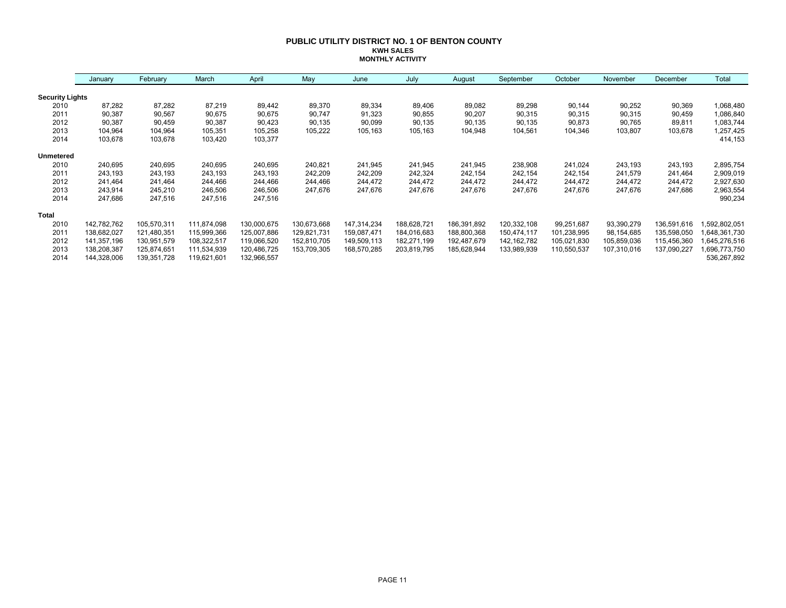#### **PUBLIC UTILITY DISTRICT NO. 1 OF BENTON COUNTY KWH SALES MONTHLY ACTIVITY**

|                        | January     | February    | March       | April       | May         | June        | July        | August      | September     | October     | November    | December    | Total        |
|------------------------|-------------|-------------|-------------|-------------|-------------|-------------|-------------|-------------|---------------|-------------|-------------|-------------|--------------|
| <b>Security Lights</b> |             |             |             |             |             |             |             |             |               |             |             |             |              |
| 2010                   | 87,282      | 87,282      | 87,219      | 89,442      | 89,370      | 89,334      | 89,406      | 89,082      | 89,298        | 90,144      | 90,252      | 90,369      | 1,068,480    |
| 2011                   | 90,387      | 90,567      | 90,675      | 90,675      | 90,747      | 91,323      | 90,855      | 90,207      | 90,315        | 90,315      | 90,315      | 90,459      | 1,086,840    |
| 2012                   | 90,387      | 90,459      | 90,387      | 90,423      | 90,135      | 90,099      | 90,135      | 90,135      | 90,135        | 90,873      | 90,765      | 89,811      | 1,083,744    |
| 2013                   | 104,964     | 104,964     | 105,351     | 105,258     | 105,222     | 105,163     | 105,163     | 104,948     | 104,561       | 104,346     | 103,807     | 103,678     | 1,257,425    |
| 2014                   | 103,678     | 103,678     | 103,420     | 103,377     |             |             |             |             |               |             |             |             | 414,153      |
| <b>Unmetered</b>       |             |             |             |             |             |             |             |             |               |             |             |             |              |
| 2010                   | 240,695     | 240,695     | 240,695     | 240,695     | 240,821     | 241,945     | 241,945     | 241,945     | 238,908       | 241,024     | 243,193     | 243,193     | 2,895,754    |
| 2011                   | 243,193     | 243,193     | 243,193     | 243,193     | 242,209     | 242,209     | 242,324     | 242,154     | 242,154       | 242,154     | 241,579     | 241,464     | 2,909,019    |
| 2012                   | 241,464     | 241,464     | 244,466     | 244,466     | 244,466     | 244,472     | 244,472     | 244,472     | 244,472       | 244,472     | 244,472     | 244,472     | 2,927,630    |
| 2013                   | 243,914     | 245,210     | 246,506     | 246,506     | 247,676     | 247,676     | 247,676     | 247,676     | 247,676       | 247,676     | 247,676     | 247,686     | 2,963,554    |
| 2014                   | 247,686     | 247,516     | 247,516     | 247,516     |             |             |             |             |               |             |             |             | 990,234      |
| <b>Total</b>           |             |             |             |             |             |             |             |             |               |             |             |             |              |
| 2010                   | 142,782,762 | 105,570,311 | 111,874,098 | 130,000,675 | 130,673,668 | 147,314,234 | 188,628,721 | 186,391,892 | 120,332,108   | 99,251,687  | 93,390,279  | 136,591,616 | ,592,802,051 |
| 2011                   | 138,682,027 | 121,480,351 | 115,999,366 | 125,007,886 | 129,821,731 | 159,087,471 | 184,016,683 | 188,800,368 | 150,474,117   | 101,238,995 | 98,154,685  | 135,598,050 | 648,361,730  |
| 2012                   | 141,357,196 | 130,951,579 | 108,322,517 | 119,066,520 | 152,810,705 | 149,509,113 | 182,271,199 | 192,487,679 | 142, 162, 782 | 105,021,830 | 105,859,036 | 115,456,360 | 645,276,516  |
| 2013                   | 138,208,387 | 125,874,651 | 111,534,939 | 120,486,725 | 153,709,305 | 168,570,285 | 203,819,795 | 185,628,944 | 133,989,939   | 110,550,537 | 107,310,016 | 137,090,227 | 696,773,750  |
| 2014                   | 144,328,006 | 139,351,728 | 119,621,601 | 132,966,557 |             |             |             |             |               |             |             |             | 536,267,892  |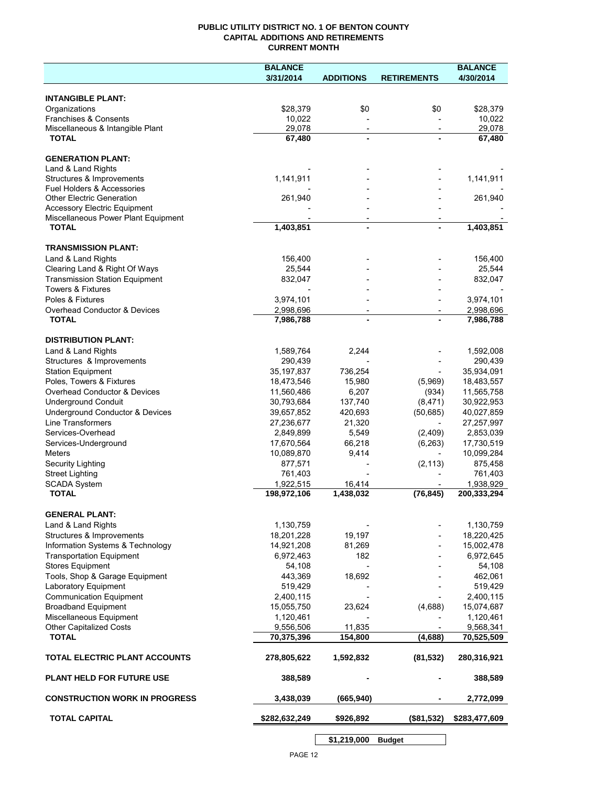## **PUBLIC UTILITY DISTRICT NO. 1 OF BENTON COUNTY CAPITAL ADDITIONS AND RETIREMENTS CURRENT MONTH**

|                                                           | <b>BALANCE</b>          |                          |                          | <b>BALANCE</b>        |
|-----------------------------------------------------------|-------------------------|--------------------------|--------------------------|-----------------------|
|                                                           | 3/31/2014               | <b>ADDITIONS</b>         | <b>RETIREMENTS</b>       | 4/30/2014             |
|                                                           |                         |                          |                          |                       |
| <b>INTANGIBLE PLANT:</b>                                  |                         |                          |                          |                       |
| Organizations                                             | \$28,379                | \$0                      | \$0                      | \$28,379              |
| Franchises & Consents<br>Miscellaneous & Intangible Plant | 10,022<br>29,078        | $\overline{\phantom{a}}$ | $\overline{\phantom{a}}$ | 10,022<br>29,078      |
| <b>TOTAL</b>                                              | 67,480                  |                          |                          | 67,480                |
|                                                           |                         |                          |                          |                       |
| <b>GENERATION PLANT:</b>                                  |                         |                          |                          |                       |
| Land & Land Rights                                        |                         |                          |                          |                       |
| Structures & Improvements                                 | 1,141,911               |                          |                          | 1,141,911             |
| Fuel Holders & Accessories                                |                         |                          |                          |                       |
| <b>Other Electric Generation</b>                          | 261,940                 |                          |                          | 261,940               |
| <b>Accessory Electric Equipment</b>                       |                         |                          |                          |                       |
| Miscellaneous Power Plant Equipment                       |                         |                          |                          |                       |
| <b>TOTAL</b>                                              | 1,403,851               | $\blacksquare$           |                          | 1,403,851             |
|                                                           |                         |                          |                          |                       |
| <b>TRANSMISSION PLANT:</b>                                |                         |                          |                          |                       |
| Land & Land Rights                                        | 156,400                 |                          |                          | 156,400               |
| Clearing Land & Right Of Ways                             | 25,544                  |                          |                          | 25,544                |
| <b>Transmission Station Equipment</b>                     | 832,047                 |                          |                          | 832,047               |
| <b>Towers &amp; Fixtures</b>                              |                         |                          |                          |                       |
| Poles & Fixtures                                          | 3,974,101               |                          |                          | 3,974,101             |
| Overhead Conductor & Devices                              | 2,998,696               |                          |                          | 2,998,696             |
| <b>TOTAL</b>                                              | 7,986,788               |                          |                          | 7,986,788             |
| <b>DISTRIBUTION PLANT:</b>                                |                         |                          |                          |                       |
|                                                           |                         |                          |                          |                       |
| Land & Land Rights                                        | 1,589,764               | 2,244                    |                          | 1,592,008             |
| Structures & Improvements                                 | 290,439<br>35, 197, 837 | 736,254                  |                          | 290,439<br>35,934,091 |
| <b>Station Equipment</b><br>Poles, Towers & Fixtures      | 18,473,546              | 15,980                   | (5,969)                  | 18,483,557            |
| Overhead Conductor & Devices                              | 11,560,486              | 6,207                    | (934)                    | 11,565,758            |
| <b>Underground Conduit</b>                                | 30,793,684              | 137,740                  | (8,471)                  | 30,922,953            |
| Underground Conductor & Devices                           | 39,657,852              | 420,693                  | (50, 685)                | 40,027,859            |
| Line Transformers                                         | 27,236,677              | 21,320                   |                          | 27,257,997            |
| Services-Overhead                                         | 2,849,899               | 5,549                    | (2,409)                  | 2,853,039             |
| Services-Underground                                      | 17,670,564              | 66,218                   | (6, 263)                 | 17,730,519            |
| Meters                                                    | 10,089,870              | 9,414                    | $\overline{\phantom{a}}$ | 10,099,284            |
| <b>Security Lighting</b>                                  | 877,571                 |                          | (2, 113)                 | 875,458               |
| <b>Street Lighting</b>                                    | 761,403                 |                          |                          | 761,403               |
| <b>SCADA System</b>                                       | 1,922,515               | 16,414                   |                          | 1,938,929             |
| <b>TOTAL</b>                                              | 198,972,106             | 1,438,032                | (76, 845)                | 200,333,294           |
|                                                           |                         |                          |                          |                       |
| <b>GENERAL PLANT:</b>                                     |                         |                          |                          |                       |
| Land & Land Rights                                        | 1,130,759               |                          |                          | 1,130,759             |
| Structures & Improvements                                 | 18,201,228              | 19,197                   |                          | 18,220,425            |
| Information Systems & Technology                          | 14,921,208              | 81,269                   |                          | 15,002,478            |
| <b>Transportation Equipment</b>                           | 6,972,463               | 182                      |                          | 6,972,645             |
| <b>Stores Equipment</b>                                   | 54,108                  |                          |                          | 54,108                |
| Tools, Shop & Garage Equipment                            | 443,369                 | 18,692                   |                          | 462,061               |
| Laboratory Equipment                                      | 519,429                 |                          |                          | 519,429               |
| <b>Communication Equipment</b>                            | 2,400,115               |                          |                          | 2,400,115             |
| <b>Broadband Equipment</b>                                | 15,055,750              | 23,624                   | (4,688)                  | 15,074,687            |
| Miscellaneous Equipment                                   | 1,120,461               |                          |                          | 1,120,461             |
| <b>Other Capitalized Costs</b>                            | 9,556,506               | 11,835                   |                          | 9,568,341             |
| <b>TOTAL</b>                                              | 70,375,396              | 154,800                  | (4,688)                  | 70,525,509            |
|                                                           |                         |                          |                          |                       |
| TOTAL ELECTRIC PLANT ACCOUNTS                             | 278,805,622             | 1,592,832                | (81, 532)                | 280,316,921           |
| <b>PLANT HELD FOR FUTURE USE</b>                          | 388,589                 |                          |                          | 388,589               |
| <b>CONSTRUCTION WORK IN PROGRESS</b>                      | 3,438,039               | (665, 940)               |                          | 2,772,099             |
| <b>TOTAL CAPITAL</b>                                      | \$282,632,249           | \$926,892                | (\$81,532)               | \$283,477,609         |
|                                                           |                         |                          |                          |                       |

**\$1,219,000 Budget**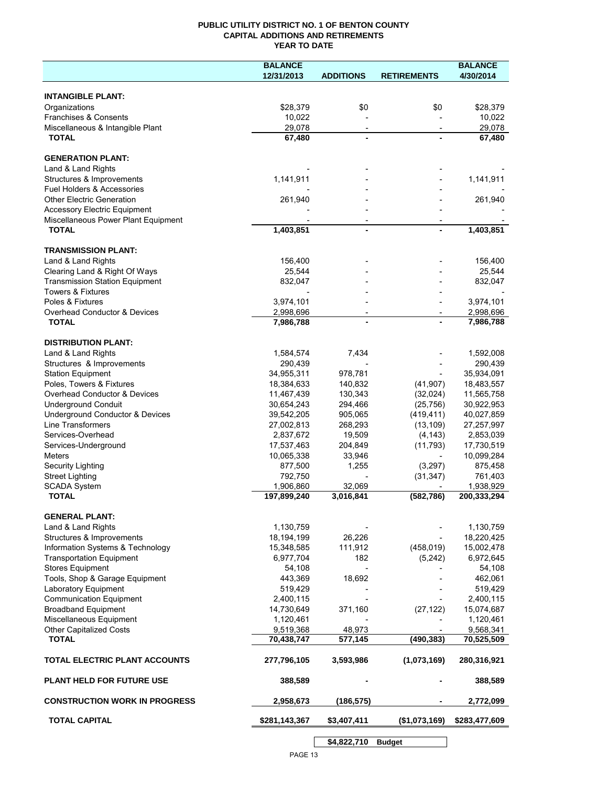## **PUBLIC UTILITY DISTRICT NO. 1 OF BENTON COUNTY CAPITAL ADDITIONS AND RETIREMENTS YEAR TO DATE**

| 12/31/2013<br>4/30/2014<br><b>ADDITIONS</b><br><b>RETIREMENTS</b><br><b>INTANGIBLE PLANT:</b><br>Organizations<br>\$28,379<br>\$0<br>\$0<br>\$28,379<br>Franchises & Consents<br>10,022<br>10,022<br>Miscellaneous & Intangible Plant<br>29,078<br>29,078<br>$\overline{\phantom{a}}$<br>$\overline{\phantom{a}}$<br><b>TOTAL</b><br>67,480<br>67,480<br><b>GENERATION PLANT:</b><br>Land & Land Rights<br>1,141,911<br>1,141,911<br>Structures & Improvements<br>Fuel Holders & Accessories<br><b>Other Electric Generation</b><br>261,940<br>261,940<br><b>Accessory Electric Equipment</b><br>Miscellaneous Power Plant Equipment<br><b>TOTAL</b><br>1,403,851<br>1,403,851<br>$\overline{a}$<br><b>TRANSMISSION PLANT:</b><br>Land & Land Rights<br>156,400<br>156,400<br>25,544<br>Clearing Land & Right Of Ways<br>25,544<br><b>Transmission Station Equipment</b><br>832,047<br>832,047<br><b>Towers &amp; Fixtures</b><br>Poles & Fixtures<br>3,974,101<br>3,974,101<br><b>Overhead Conductor &amp; Devices</b><br>2,998,696<br>2,998,696<br>$\overline{\phantom{a}}$<br><b>TOTAL</b><br>7,986,788<br>7,986,788<br><b>DISTRIBUTION PLANT:</b><br>Land & Land Rights<br>1,584,574<br>7,434<br>1,592,008<br>Structures & Improvements<br>290,439<br>290,439<br>35,934,091<br><b>Station Equipment</b><br>34,955,311<br>978,781<br>Poles, Towers & Fixtures<br>140,832<br>18,384,633<br>(41, 907)<br>18,483,557<br>Overhead Conductor & Devices<br>130,343<br>11,467,439<br>(32,024)<br>11,565,758<br><b>Underground Conduit</b><br>30,654,243<br>294,466<br>(25, 756)<br>30,922,953<br>Underground Conductor & Devices<br>905,065<br>(419, 411)<br>40,027,859<br>39,542,205<br>Line Transformers<br>27,002,813<br>268,293<br>(13, 109)<br>27,257,997<br>Services-Overhead<br>2,837,672<br>19,509<br>(4, 143)<br>2,853,039<br>Services-Underground<br>17,537,463<br>204,849<br>(11, 793)<br>17,730,519<br>Meters<br>10,065,338<br>33,946<br>10,099,284<br><b>Security Lighting</b><br>877,500<br>1,255<br>(3,297)<br>875,458<br><b>Street Lighting</b><br>792,750<br>(31, 347)<br>761,403<br>32,069<br><b>SCADA System</b><br>1,906,860<br>1,938,929<br><b>TOTAL</b><br>197,899,240<br>3,016,841<br>(582, 786)<br>200,333,294<br><b>GENERAL PLANT:</b><br>1,130,759<br>Land & Land Rights<br>1,130,759<br>26,226<br>Structures & Improvements<br>18,194,199<br>18,220,425<br>(458, 019)<br>Information Systems & Technology<br>15,348,585<br>111,912<br>15,002,478<br>6,972,645<br><b>Transportation Equipment</b><br>6,977,704<br>182<br>(5, 242)<br><b>Stores Equipment</b><br>54,108<br>54,108<br>Tools, Shop & Garage Equipment<br>443,369<br>18,692<br>462,061<br><b>Laboratory Equipment</b><br>519,429<br>519,429<br><b>Communication Equipment</b><br>2,400,115<br>2,400,115<br><b>Broadband Equipment</b><br>14,730,649<br>371,160<br>15,074,687<br>(27, 122)<br>Miscellaneous Equipment<br>1,120,461<br>1,120,461<br>Other Capitalized Costs<br>9,568,341<br>9,519,368<br>48,973<br><b>TOTAL</b><br>70,438,747<br>577,145<br>(490, 383)<br>70,525,509<br>TOTAL ELECTRIC PLANT ACCOUNTS<br>(1,073,169)<br>277,796,105<br>3,593,986<br>280,316,921<br><b>PLANT HELD FOR FUTURE USE</b><br>388,589<br>388,589<br><b>CONSTRUCTION WORK IN PROGRESS</b><br>(186, 575)<br>2,958,673<br>2,772,099<br><b>TOTAL CAPITAL</b><br>\$281,143,367<br>\$3,407,411<br>\$283,477,609<br>(\$1,073,169)<br>\$4,822,710<br><b>Budget</b> | <b>BALANCE</b> |  | <b>BALANCE</b> |
|-------------------------------------------------------------------------------------------------------------------------------------------------------------------------------------------------------------------------------------------------------------------------------------------------------------------------------------------------------------------------------------------------------------------------------------------------------------------------------------------------------------------------------------------------------------------------------------------------------------------------------------------------------------------------------------------------------------------------------------------------------------------------------------------------------------------------------------------------------------------------------------------------------------------------------------------------------------------------------------------------------------------------------------------------------------------------------------------------------------------------------------------------------------------------------------------------------------------------------------------------------------------------------------------------------------------------------------------------------------------------------------------------------------------------------------------------------------------------------------------------------------------------------------------------------------------------------------------------------------------------------------------------------------------------------------------------------------------------------------------------------------------------------------------------------------------------------------------------------------------------------------------------------------------------------------------------------------------------------------------------------------------------------------------------------------------------------------------------------------------------------------------------------------------------------------------------------------------------------------------------------------------------------------------------------------------------------------------------------------------------------------------------------------------------------------------------------------------------------------------------------------------------------------------------------------------------------------------------------------------------------------------------------------------------------------------------------------------------------------------------------------------------------------------------------------------------------------------------------------------------------------------------------------------------------------------------------------------------------------------------------------------------------------------------------------------------------------------------------------------------------------------------------------------------------------------------------------------------------------------------------------------------------------------------------------------------------------------------------------------------------------------------------------------------------------|----------------|--|----------------|
|                                                                                                                                                                                                                                                                                                                                                                                                                                                                                                                                                                                                                                                                                                                                                                                                                                                                                                                                                                                                                                                                                                                                                                                                                                                                                                                                                                                                                                                                                                                                                                                                                                                                                                                                                                                                                                                                                                                                                                                                                                                                                                                                                                                                                                                                                                                                                                                                                                                                                                                                                                                                                                                                                                                                                                                                                                                                                                                                                                                                                                                                                                                                                                                                                                                                                                                                                                                                                                     |                |  |                |
|                                                                                                                                                                                                                                                                                                                                                                                                                                                                                                                                                                                                                                                                                                                                                                                                                                                                                                                                                                                                                                                                                                                                                                                                                                                                                                                                                                                                                                                                                                                                                                                                                                                                                                                                                                                                                                                                                                                                                                                                                                                                                                                                                                                                                                                                                                                                                                                                                                                                                                                                                                                                                                                                                                                                                                                                                                                                                                                                                                                                                                                                                                                                                                                                                                                                                                                                                                                                                                     |                |  |                |
|                                                                                                                                                                                                                                                                                                                                                                                                                                                                                                                                                                                                                                                                                                                                                                                                                                                                                                                                                                                                                                                                                                                                                                                                                                                                                                                                                                                                                                                                                                                                                                                                                                                                                                                                                                                                                                                                                                                                                                                                                                                                                                                                                                                                                                                                                                                                                                                                                                                                                                                                                                                                                                                                                                                                                                                                                                                                                                                                                                                                                                                                                                                                                                                                                                                                                                                                                                                                                                     |                |  |                |
|                                                                                                                                                                                                                                                                                                                                                                                                                                                                                                                                                                                                                                                                                                                                                                                                                                                                                                                                                                                                                                                                                                                                                                                                                                                                                                                                                                                                                                                                                                                                                                                                                                                                                                                                                                                                                                                                                                                                                                                                                                                                                                                                                                                                                                                                                                                                                                                                                                                                                                                                                                                                                                                                                                                                                                                                                                                                                                                                                                                                                                                                                                                                                                                                                                                                                                                                                                                                                                     |                |  |                |
|                                                                                                                                                                                                                                                                                                                                                                                                                                                                                                                                                                                                                                                                                                                                                                                                                                                                                                                                                                                                                                                                                                                                                                                                                                                                                                                                                                                                                                                                                                                                                                                                                                                                                                                                                                                                                                                                                                                                                                                                                                                                                                                                                                                                                                                                                                                                                                                                                                                                                                                                                                                                                                                                                                                                                                                                                                                                                                                                                                                                                                                                                                                                                                                                                                                                                                                                                                                                                                     |                |  |                |
|                                                                                                                                                                                                                                                                                                                                                                                                                                                                                                                                                                                                                                                                                                                                                                                                                                                                                                                                                                                                                                                                                                                                                                                                                                                                                                                                                                                                                                                                                                                                                                                                                                                                                                                                                                                                                                                                                                                                                                                                                                                                                                                                                                                                                                                                                                                                                                                                                                                                                                                                                                                                                                                                                                                                                                                                                                                                                                                                                                                                                                                                                                                                                                                                                                                                                                                                                                                                                                     |                |  |                |
|                                                                                                                                                                                                                                                                                                                                                                                                                                                                                                                                                                                                                                                                                                                                                                                                                                                                                                                                                                                                                                                                                                                                                                                                                                                                                                                                                                                                                                                                                                                                                                                                                                                                                                                                                                                                                                                                                                                                                                                                                                                                                                                                                                                                                                                                                                                                                                                                                                                                                                                                                                                                                                                                                                                                                                                                                                                                                                                                                                                                                                                                                                                                                                                                                                                                                                                                                                                                                                     |                |  |                |
|                                                                                                                                                                                                                                                                                                                                                                                                                                                                                                                                                                                                                                                                                                                                                                                                                                                                                                                                                                                                                                                                                                                                                                                                                                                                                                                                                                                                                                                                                                                                                                                                                                                                                                                                                                                                                                                                                                                                                                                                                                                                                                                                                                                                                                                                                                                                                                                                                                                                                                                                                                                                                                                                                                                                                                                                                                                                                                                                                                                                                                                                                                                                                                                                                                                                                                                                                                                                                                     |                |  |                |
|                                                                                                                                                                                                                                                                                                                                                                                                                                                                                                                                                                                                                                                                                                                                                                                                                                                                                                                                                                                                                                                                                                                                                                                                                                                                                                                                                                                                                                                                                                                                                                                                                                                                                                                                                                                                                                                                                                                                                                                                                                                                                                                                                                                                                                                                                                                                                                                                                                                                                                                                                                                                                                                                                                                                                                                                                                                                                                                                                                                                                                                                                                                                                                                                                                                                                                                                                                                                                                     |                |  |                |
|                                                                                                                                                                                                                                                                                                                                                                                                                                                                                                                                                                                                                                                                                                                                                                                                                                                                                                                                                                                                                                                                                                                                                                                                                                                                                                                                                                                                                                                                                                                                                                                                                                                                                                                                                                                                                                                                                                                                                                                                                                                                                                                                                                                                                                                                                                                                                                                                                                                                                                                                                                                                                                                                                                                                                                                                                                                                                                                                                                                                                                                                                                                                                                                                                                                                                                                                                                                                                                     |                |  |                |
|                                                                                                                                                                                                                                                                                                                                                                                                                                                                                                                                                                                                                                                                                                                                                                                                                                                                                                                                                                                                                                                                                                                                                                                                                                                                                                                                                                                                                                                                                                                                                                                                                                                                                                                                                                                                                                                                                                                                                                                                                                                                                                                                                                                                                                                                                                                                                                                                                                                                                                                                                                                                                                                                                                                                                                                                                                                                                                                                                                                                                                                                                                                                                                                                                                                                                                                                                                                                                                     |                |  |                |
|                                                                                                                                                                                                                                                                                                                                                                                                                                                                                                                                                                                                                                                                                                                                                                                                                                                                                                                                                                                                                                                                                                                                                                                                                                                                                                                                                                                                                                                                                                                                                                                                                                                                                                                                                                                                                                                                                                                                                                                                                                                                                                                                                                                                                                                                                                                                                                                                                                                                                                                                                                                                                                                                                                                                                                                                                                                                                                                                                                                                                                                                                                                                                                                                                                                                                                                                                                                                                                     |                |  |                |
|                                                                                                                                                                                                                                                                                                                                                                                                                                                                                                                                                                                                                                                                                                                                                                                                                                                                                                                                                                                                                                                                                                                                                                                                                                                                                                                                                                                                                                                                                                                                                                                                                                                                                                                                                                                                                                                                                                                                                                                                                                                                                                                                                                                                                                                                                                                                                                                                                                                                                                                                                                                                                                                                                                                                                                                                                                                                                                                                                                                                                                                                                                                                                                                                                                                                                                                                                                                                                                     |                |  |                |
|                                                                                                                                                                                                                                                                                                                                                                                                                                                                                                                                                                                                                                                                                                                                                                                                                                                                                                                                                                                                                                                                                                                                                                                                                                                                                                                                                                                                                                                                                                                                                                                                                                                                                                                                                                                                                                                                                                                                                                                                                                                                                                                                                                                                                                                                                                                                                                                                                                                                                                                                                                                                                                                                                                                                                                                                                                                                                                                                                                                                                                                                                                                                                                                                                                                                                                                                                                                                                                     |                |  |                |
|                                                                                                                                                                                                                                                                                                                                                                                                                                                                                                                                                                                                                                                                                                                                                                                                                                                                                                                                                                                                                                                                                                                                                                                                                                                                                                                                                                                                                                                                                                                                                                                                                                                                                                                                                                                                                                                                                                                                                                                                                                                                                                                                                                                                                                                                                                                                                                                                                                                                                                                                                                                                                                                                                                                                                                                                                                                                                                                                                                                                                                                                                                                                                                                                                                                                                                                                                                                                                                     |                |  |                |
|                                                                                                                                                                                                                                                                                                                                                                                                                                                                                                                                                                                                                                                                                                                                                                                                                                                                                                                                                                                                                                                                                                                                                                                                                                                                                                                                                                                                                                                                                                                                                                                                                                                                                                                                                                                                                                                                                                                                                                                                                                                                                                                                                                                                                                                                                                                                                                                                                                                                                                                                                                                                                                                                                                                                                                                                                                                                                                                                                                                                                                                                                                                                                                                                                                                                                                                                                                                                                                     |                |  |                |
|                                                                                                                                                                                                                                                                                                                                                                                                                                                                                                                                                                                                                                                                                                                                                                                                                                                                                                                                                                                                                                                                                                                                                                                                                                                                                                                                                                                                                                                                                                                                                                                                                                                                                                                                                                                                                                                                                                                                                                                                                                                                                                                                                                                                                                                                                                                                                                                                                                                                                                                                                                                                                                                                                                                                                                                                                                                                                                                                                                                                                                                                                                                                                                                                                                                                                                                                                                                                                                     |                |  |                |
|                                                                                                                                                                                                                                                                                                                                                                                                                                                                                                                                                                                                                                                                                                                                                                                                                                                                                                                                                                                                                                                                                                                                                                                                                                                                                                                                                                                                                                                                                                                                                                                                                                                                                                                                                                                                                                                                                                                                                                                                                                                                                                                                                                                                                                                                                                                                                                                                                                                                                                                                                                                                                                                                                                                                                                                                                                                                                                                                                                                                                                                                                                                                                                                                                                                                                                                                                                                                                                     |                |  |                |
|                                                                                                                                                                                                                                                                                                                                                                                                                                                                                                                                                                                                                                                                                                                                                                                                                                                                                                                                                                                                                                                                                                                                                                                                                                                                                                                                                                                                                                                                                                                                                                                                                                                                                                                                                                                                                                                                                                                                                                                                                                                                                                                                                                                                                                                                                                                                                                                                                                                                                                                                                                                                                                                                                                                                                                                                                                                                                                                                                                                                                                                                                                                                                                                                                                                                                                                                                                                                                                     |                |  |                |
|                                                                                                                                                                                                                                                                                                                                                                                                                                                                                                                                                                                                                                                                                                                                                                                                                                                                                                                                                                                                                                                                                                                                                                                                                                                                                                                                                                                                                                                                                                                                                                                                                                                                                                                                                                                                                                                                                                                                                                                                                                                                                                                                                                                                                                                                                                                                                                                                                                                                                                                                                                                                                                                                                                                                                                                                                                                                                                                                                                                                                                                                                                                                                                                                                                                                                                                                                                                                                                     |                |  |                |
|                                                                                                                                                                                                                                                                                                                                                                                                                                                                                                                                                                                                                                                                                                                                                                                                                                                                                                                                                                                                                                                                                                                                                                                                                                                                                                                                                                                                                                                                                                                                                                                                                                                                                                                                                                                                                                                                                                                                                                                                                                                                                                                                                                                                                                                                                                                                                                                                                                                                                                                                                                                                                                                                                                                                                                                                                                                                                                                                                                                                                                                                                                                                                                                                                                                                                                                                                                                                                                     |                |  |                |
|                                                                                                                                                                                                                                                                                                                                                                                                                                                                                                                                                                                                                                                                                                                                                                                                                                                                                                                                                                                                                                                                                                                                                                                                                                                                                                                                                                                                                                                                                                                                                                                                                                                                                                                                                                                                                                                                                                                                                                                                                                                                                                                                                                                                                                                                                                                                                                                                                                                                                                                                                                                                                                                                                                                                                                                                                                                                                                                                                                                                                                                                                                                                                                                                                                                                                                                                                                                                                                     |                |  |                |
|                                                                                                                                                                                                                                                                                                                                                                                                                                                                                                                                                                                                                                                                                                                                                                                                                                                                                                                                                                                                                                                                                                                                                                                                                                                                                                                                                                                                                                                                                                                                                                                                                                                                                                                                                                                                                                                                                                                                                                                                                                                                                                                                                                                                                                                                                                                                                                                                                                                                                                                                                                                                                                                                                                                                                                                                                                                                                                                                                                                                                                                                                                                                                                                                                                                                                                                                                                                                                                     |                |  |                |
|                                                                                                                                                                                                                                                                                                                                                                                                                                                                                                                                                                                                                                                                                                                                                                                                                                                                                                                                                                                                                                                                                                                                                                                                                                                                                                                                                                                                                                                                                                                                                                                                                                                                                                                                                                                                                                                                                                                                                                                                                                                                                                                                                                                                                                                                                                                                                                                                                                                                                                                                                                                                                                                                                                                                                                                                                                                                                                                                                                                                                                                                                                                                                                                                                                                                                                                                                                                                                                     |                |  |                |
|                                                                                                                                                                                                                                                                                                                                                                                                                                                                                                                                                                                                                                                                                                                                                                                                                                                                                                                                                                                                                                                                                                                                                                                                                                                                                                                                                                                                                                                                                                                                                                                                                                                                                                                                                                                                                                                                                                                                                                                                                                                                                                                                                                                                                                                                                                                                                                                                                                                                                                                                                                                                                                                                                                                                                                                                                                                                                                                                                                                                                                                                                                                                                                                                                                                                                                                                                                                                                                     |                |  |                |
|                                                                                                                                                                                                                                                                                                                                                                                                                                                                                                                                                                                                                                                                                                                                                                                                                                                                                                                                                                                                                                                                                                                                                                                                                                                                                                                                                                                                                                                                                                                                                                                                                                                                                                                                                                                                                                                                                                                                                                                                                                                                                                                                                                                                                                                                                                                                                                                                                                                                                                                                                                                                                                                                                                                                                                                                                                                                                                                                                                                                                                                                                                                                                                                                                                                                                                                                                                                                                                     |                |  |                |
|                                                                                                                                                                                                                                                                                                                                                                                                                                                                                                                                                                                                                                                                                                                                                                                                                                                                                                                                                                                                                                                                                                                                                                                                                                                                                                                                                                                                                                                                                                                                                                                                                                                                                                                                                                                                                                                                                                                                                                                                                                                                                                                                                                                                                                                                                                                                                                                                                                                                                                                                                                                                                                                                                                                                                                                                                                                                                                                                                                                                                                                                                                                                                                                                                                                                                                                                                                                                                                     |                |  |                |
|                                                                                                                                                                                                                                                                                                                                                                                                                                                                                                                                                                                                                                                                                                                                                                                                                                                                                                                                                                                                                                                                                                                                                                                                                                                                                                                                                                                                                                                                                                                                                                                                                                                                                                                                                                                                                                                                                                                                                                                                                                                                                                                                                                                                                                                                                                                                                                                                                                                                                                                                                                                                                                                                                                                                                                                                                                                                                                                                                                                                                                                                                                                                                                                                                                                                                                                                                                                                                                     |                |  |                |
|                                                                                                                                                                                                                                                                                                                                                                                                                                                                                                                                                                                                                                                                                                                                                                                                                                                                                                                                                                                                                                                                                                                                                                                                                                                                                                                                                                                                                                                                                                                                                                                                                                                                                                                                                                                                                                                                                                                                                                                                                                                                                                                                                                                                                                                                                                                                                                                                                                                                                                                                                                                                                                                                                                                                                                                                                                                                                                                                                                                                                                                                                                                                                                                                                                                                                                                                                                                                                                     |                |  |                |
|                                                                                                                                                                                                                                                                                                                                                                                                                                                                                                                                                                                                                                                                                                                                                                                                                                                                                                                                                                                                                                                                                                                                                                                                                                                                                                                                                                                                                                                                                                                                                                                                                                                                                                                                                                                                                                                                                                                                                                                                                                                                                                                                                                                                                                                                                                                                                                                                                                                                                                                                                                                                                                                                                                                                                                                                                                                                                                                                                                                                                                                                                                                                                                                                                                                                                                                                                                                                                                     |                |  |                |
|                                                                                                                                                                                                                                                                                                                                                                                                                                                                                                                                                                                                                                                                                                                                                                                                                                                                                                                                                                                                                                                                                                                                                                                                                                                                                                                                                                                                                                                                                                                                                                                                                                                                                                                                                                                                                                                                                                                                                                                                                                                                                                                                                                                                                                                                                                                                                                                                                                                                                                                                                                                                                                                                                                                                                                                                                                                                                                                                                                                                                                                                                                                                                                                                                                                                                                                                                                                                                                     |                |  |                |
|                                                                                                                                                                                                                                                                                                                                                                                                                                                                                                                                                                                                                                                                                                                                                                                                                                                                                                                                                                                                                                                                                                                                                                                                                                                                                                                                                                                                                                                                                                                                                                                                                                                                                                                                                                                                                                                                                                                                                                                                                                                                                                                                                                                                                                                                                                                                                                                                                                                                                                                                                                                                                                                                                                                                                                                                                                                                                                                                                                                                                                                                                                                                                                                                                                                                                                                                                                                                                                     |                |  |                |
|                                                                                                                                                                                                                                                                                                                                                                                                                                                                                                                                                                                                                                                                                                                                                                                                                                                                                                                                                                                                                                                                                                                                                                                                                                                                                                                                                                                                                                                                                                                                                                                                                                                                                                                                                                                                                                                                                                                                                                                                                                                                                                                                                                                                                                                                                                                                                                                                                                                                                                                                                                                                                                                                                                                                                                                                                                                                                                                                                                                                                                                                                                                                                                                                                                                                                                                                                                                                                                     |                |  |                |
|                                                                                                                                                                                                                                                                                                                                                                                                                                                                                                                                                                                                                                                                                                                                                                                                                                                                                                                                                                                                                                                                                                                                                                                                                                                                                                                                                                                                                                                                                                                                                                                                                                                                                                                                                                                                                                                                                                                                                                                                                                                                                                                                                                                                                                                                                                                                                                                                                                                                                                                                                                                                                                                                                                                                                                                                                                                                                                                                                                                                                                                                                                                                                                                                                                                                                                                                                                                                                                     |                |  |                |
|                                                                                                                                                                                                                                                                                                                                                                                                                                                                                                                                                                                                                                                                                                                                                                                                                                                                                                                                                                                                                                                                                                                                                                                                                                                                                                                                                                                                                                                                                                                                                                                                                                                                                                                                                                                                                                                                                                                                                                                                                                                                                                                                                                                                                                                                                                                                                                                                                                                                                                                                                                                                                                                                                                                                                                                                                                                                                                                                                                                                                                                                                                                                                                                                                                                                                                                                                                                                                                     |                |  |                |
|                                                                                                                                                                                                                                                                                                                                                                                                                                                                                                                                                                                                                                                                                                                                                                                                                                                                                                                                                                                                                                                                                                                                                                                                                                                                                                                                                                                                                                                                                                                                                                                                                                                                                                                                                                                                                                                                                                                                                                                                                                                                                                                                                                                                                                                                                                                                                                                                                                                                                                                                                                                                                                                                                                                                                                                                                                                                                                                                                                                                                                                                                                                                                                                                                                                                                                                                                                                                                                     |                |  |                |
|                                                                                                                                                                                                                                                                                                                                                                                                                                                                                                                                                                                                                                                                                                                                                                                                                                                                                                                                                                                                                                                                                                                                                                                                                                                                                                                                                                                                                                                                                                                                                                                                                                                                                                                                                                                                                                                                                                                                                                                                                                                                                                                                                                                                                                                                                                                                                                                                                                                                                                                                                                                                                                                                                                                                                                                                                                                                                                                                                                                                                                                                                                                                                                                                                                                                                                                                                                                                                                     |                |  |                |
|                                                                                                                                                                                                                                                                                                                                                                                                                                                                                                                                                                                                                                                                                                                                                                                                                                                                                                                                                                                                                                                                                                                                                                                                                                                                                                                                                                                                                                                                                                                                                                                                                                                                                                                                                                                                                                                                                                                                                                                                                                                                                                                                                                                                                                                                                                                                                                                                                                                                                                                                                                                                                                                                                                                                                                                                                                                                                                                                                                                                                                                                                                                                                                                                                                                                                                                                                                                                                                     |                |  |                |
|                                                                                                                                                                                                                                                                                                                                                                                                                                                                                                                                                                                                                                                                                                                                                                                                                                                                                                                                                                                                                                                                                                                                                                                                                                                                                                                                                                                                                                                                                                                                                                                                                                                                                                                                                                                                                                                                                                                                                                                                                                                                                                                                                                                                                                                                                                                                                                                                                                                                                                                                                                                                                                                                                                                                                                                                                                                                                                                                                                                                                                                                                                                                                                                                                                                                                                                                                                                                                                     |                |  |                |
|                                                                                                                                                                                                                                                                                                                                                                                                                                                                                                                                                                                                                                                                                                                                                                                                                                                                                                                                                                                                                                                                                                                                                                                                                                                                                                                                                                                                                                                                                                                                                                                                                                                                                                                                                                                                                                                                                                                                                                                                                                                                                                                                                                                                                                                                                                                                                                                                                                                                                                                                                                                                                                                                                                                                                                                                                                                                                                                                                                                                                                                                                                                                                                                                                                                                                                                                                                                                                                     |                |  |                |
|                                                                                                                                                                                                                                                                                                                                                                                                                                                                                                                                                                                                                                                                                                                                                                                                                                                                                                                                                                                                                                                                                                                                                                                                                                                                                                                                                                                                                                                                                                                                                                                                                                                                                                                                                                                                                                                                                                                                                                                                                                                                                                                                                                                                                                                                                                                                                                                                                                                                                                                                                                                                                                                                                                                                                                                                                                                                                                                                                                                                                                                                                                                                                                                                                                                                                                                                                                                                                                     |                |  |                |
|                                                                                                                                                                                                                                                                                                                                                                                                                                                                                                                                                                                                                                                                                                                                                                                                                                                                                                                                                                                                                                                                                                                                                                                                                                                                                                                                                                                                                                                                                                                                                                                                                                                                                                                                                                                                                                                                                                                                                                                                                                                                                                                                                                                                                                                                                                                                                                                                                                                                                                                                                                                                                                                                                                                                                                                                                                                                                                                                                                                                                                                                                                                                                                                                                                                                                                                                                                                                                                     |                |  |                |
|                                                                                                                                                                                                                                                                                                                                                                                                                                                                                                                                                                                                                                                                                                                                                                                                                                                                                                                                                                                                                                                                                                                                                                                                                                                                                                                                                                                                                                                                                                                                                                                                                                                                                                                                                                                                                                                                                                                                                                                                                                                                                                                                                                                                                                                                                                                                                                                                                                                                                                                                                                                                                                                                                                                                                                                                                                                                                                                                                                                                                                                                                                                                                                                                                                                                                                                                                                                                                                     |                |  |                |
|                                                                                                                                                                                                                                                                                                                                                                                                                                                                                                                                                                                                                                                                                                                                                                                                                                                                                                                                                                                                                                                                                                                                                                                                                                                                                                                                                                                                                                                                                                                                                                                                                                                                                                                                                                                                                                                                                                                                                                                                                                                                                                                                                                                                                                                                                                                                                                                                                                                                                                                                                                                                                                                                                                                                                                                                                                                                                                                                                                                                                                                                                                                                                                                                                                                                                                                                                                                                                                     |                |  |                |
|                                                                                                                                                                                                                                                                                                                                                                                                                                                                                                                                                                                                                                                                                                                                                                                                                                                                                                                                                                                                                                                                                                                                                                                                                                                                                                                                                                                                                                                                                                                                                                                                                                                                                                                                                                                                                                                                                                                                                                                                                                                                                                                                                                                                                                                                                                                                                                                                                                                                                                                                                                                                                                                                                                                                                                                                                                                                                                                                                                                                                                                                                                                                                                                                                                                                                                                                                                                                                                     |                |  |                |
|                                                                                                                                                                                                                                                                                                                                                                                                                                                                                                                                                                                                                                                                                                                                                                                                                                                                                                                                                                                                                                                                                                                                                                                                                                                                                                                                                                                                                                                                                                                                                                                                                                                                                                                                                                                                                                                                                                                                                                                                                                                                                                                                                                                                                                                                                                                                                                                                                                                                                                                                                                                                                                                                                                                                                                                                                                                                                                                                                                                                                                                                                                                                                                                                                                                                                                                                                                                                                                     |                |  |                |
|                                                                                                                                                                                                                                                                                                                                                                                                                                                                                                                                                                                                                                                                                                                                                                                                                                                                                                                                                                                                                                                                                                                                                                                                                                                                                                                                                                                                                                                                                                                                                                                                                                                                                                                                                                                                                                                                                                                                                                                                                                                                                                                                                                                                                                                                                                                                                                                                                                                                                                                                                                                                                                                                                                                                                                                                                                                                                                                                                                                                                                                                                                                                                                                                                                                                                                                                                                                                                                     |                |  |                |
|                                                                                                                                                                                                                                                                                                                                                                                                                                                                                                                                                                                                                                                                                                                                                                                                                                                                                                                                                                                                                                                                                                                                                                                                                                                                                                                                                                                                                                                                                                                                                                                                                                                                                                                                                                                                                                                                                                                                                                                                                                                                                                                                                                                                                                                                                                                                                                                                                                                                                                                                                                                                                                                                                                                                                                                                                                                                                                                                                                                                                                                                                                                                                                                                                                                                                                                                                                                                                                     |                |  |                |
|                                                                                                                                                                                                                                                                                                                                                                                                                                                                                                                                                                                                                                                                                                                                                                                                                                                                                                                                                                                                                                                                                                                                                                                                                                                                                                                                                                                                                                                                                                                                                                                                                                                                                                                                                                                                                                                                                                                                                                                                                                                                                                                                                                                                                                                                                                                                                                                                                                                                                                                                                                                                                                                                                                                                                                                                                                                                                                                                                                                                                                                                                                                                                                                                                                                                                                                                                                                                                                     |                |  |                |
|                                                                                                                                                                                                                                                                                                                                                                                                                                                                                                                                                                                                                                                                                                                                                                                                                                                                                                                                                                                                                                                                                                                                                                                                                                                                                                                                                                                                                                                                                                                                                                                                                                                                                                                                                                                                                                                                                                                                                                                                                                                                                                                                                                                                                                                                                                                                                                                                                                                                                                                                                                                                                                                                                                                                                                                                                                                                                                                                                                                                                                                                                                                                                                                                                                                                                                                                                                                                                                     |                |  |                |
|                                                                                                                                                                                                                                                                                                                                                                                                                                                                                                                                                                                                                                                                                                                                                                                                                                                                                                                                                                                                                                                                                                                                                                                                                                                                                                                                                                                                                                                                                                                                                                                                                                                                                                                                                                                                                                                                                                                                                                                                                                                                                                                                                                                                                                                                                                                                                                                                                                                                                                                                                                                                                                                                                                                                                                                                                                                                                                                                                                                                                                                                                                                                                                                                                                                                                                                                                                                                                                     |                |  |                |
|                                                                                                                                                                                                                                                                                                                                                                                                                                                                                                                                                                                                                                                                                                                                                                                                                                                                                                                                                                                                                                                                                                                                                                                                                                                                                                                                                                                                                                                                                                                                                                                                                                                                                                                                                                                                                                                                                                                                                                                                                                                                                                                                                                                                                                                                                                                                                                                                                                                                                                                                                                                                                                                                                                                                                                                                                                                                                                                                                                                                                                                                                                                                                                                                                                                                                                                                                                                                                                     |                |  |                |
|                                                                                                                                                                                                                                                                                                                                                                                                                                                                                                                                                                                                                                                                                                                                                                                                                                                                                                                                                                                                                                                                                                                                                                                                                                                                                                                                                                                                                                                                                                                                                                                                                                                                                                                                                                                                                                                                                                                                                                                                                                                                                                                                                                                                                                                                                                                                                                                                                                                                                                                                                                                                                                                                                                                                                                                                                                                                                                                                                                                                                                                                                                                                                                                                                                                                                                                                                                                                                                     |                |  |                |
|                                                                                                                                                                                                                                                                                                                                                                                                                                                                                                                                                                                                                                                                                                                                                                                                                                                                                                                                                                                                                                                                                                                                                                                                                                                                                                                                                                                                                                                                                                                                                                                                                                                                                                                                                                                                                                                                                                                                                                                                                                                                                                                                                                                                                                                                                                                                                                                                                                                                                                                                                                                                                                                                                                                                                                                                                                                                                                                                                                                                                                                                                                                                                                                                                                                                                                                                                                                                                                     |                |  |                |
|                                                                                                                                                                                                                                                                                                                                                                                                                                                                                                                                                                                                                                                                                                                                                                                                                                                                                                                                                                                                                                                                                                                                                                                                                                                                                                                                                                                                                                                                                                                                                                                                                                                                                                                                                                                                                                                                                                                                                                                                                                                                                                                                                                                                                                                                                                                                                                                                                                                                                                                                                                                                                                                                                                                                                                                                                                                                                                                                                                                                                                                                                                                                                                                                                                                                                                                                                                                                                                     |                |  |                |
|                                                                                                                                                                                                                                                                                                                                                                                                                                                                                                                                                                                                                                                                                                                                                                                                                                                                                                                                                                                                                                                                                                                                                                                                                                                                                                                                                                                                                                                                                                                                                                                                                                                                                                                                                                                                                                                                                                                                                                                                                                                                                                                                                                                                                                                                                                                                                                                                                                                                                                                                                                                                                                                                                                                                                                                                                                                                                                                                                                                                                                                                                                                                                                                                                                                                                                                                                                                                                                     |                |  |                |
|                                                                                                                                                                                                                                                                                                                                                                                                                                                                                                                                                                                                                                                                                                                                                                                                                                                                                                                                                                                                                                                                                                                                                                                                                                                                                                                                                                                                                                                                                                                                                                                                                                                                                                                                                                                                                                                                                                                                                                                                                                                                                                                                                                                                                                                                                                                                                                                                                                                                                                                                                                                                                                                                                                                                                                                                                                                                                                                                                                                                                                                                                                                                                                                                                                                                                                                                                                                                                                     |                |  |                |
|                                                                                                                                                                                                                                                                                                                                                                                                                                                                                                                                                                                                                                                                                                                                                                                                                                                                                                                                                                                                                                                                                                                                                                                                                                                                                                                                                                                                                                                                                                                                                                                                                                                                                                                                                                                                                                                                                                                                                                                                                                                                                                                                                                                                                                                                                                                                                                                                                                                                                                                                                                                                                                                                                                                                                                                                                                                                                                                                                                                                                                                                                                                                                                                                                                                                                                                                                                                                                                     |                |  |                |
|                                                                                                                                                                                                                                                                                                                                                                                                                                                                                                                                                                                                                                                                                                                                                                                                                                                                                                                                                                                                                                                                                                                                                                                                                                                                                                                                                                                                                                                                                                                                                                                                                                                                                                                                                                                                                                                                                                                                                                                                                                                                                                                                                                                                                                                                                                                                                                                                                                                                                                                                                                                                                                                                                                                                                                                                                                                                                                                                                                                                                                                                                                                                                                                                                                                                                                                                                                                                                                     |                |  |                |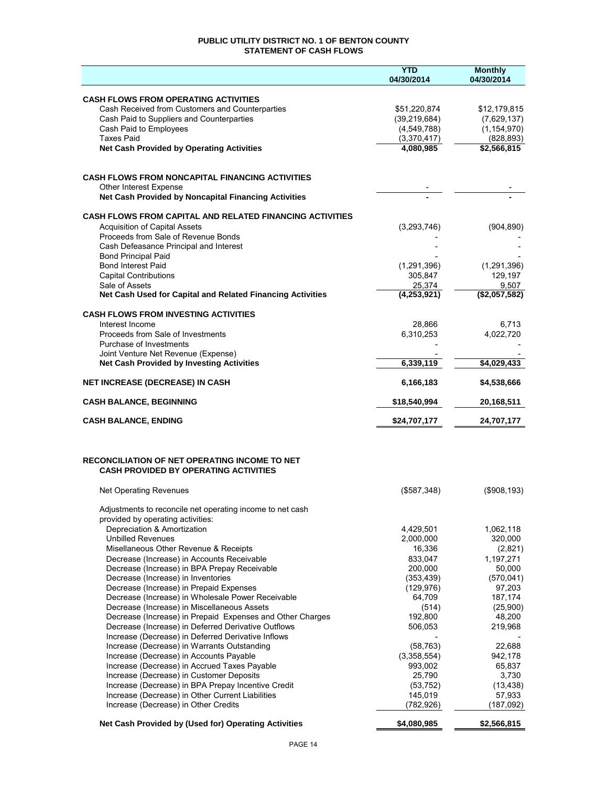## **PUBLIC UTILITY DISTRICT NO. 1 OF BENTON COUNTY STATEMENT OF CASH FLOWS**

|                                                                                                | <b>YTD</b><br>04/30/2014 | <b>Monthly</b><br>04/30/2014 |
|------------------------------------------------------------------------------------------------|--------------------------|------------------------------|
|                                                                                                |                          |                              |
| <b>CASH FLOWS FROM OPERATING ACTIVITIES</b>                                                    |                          |                              |
| Cash Received from Customers and Counterparties                                                | \$51,220,874             | \$12,179,815                 |
| Cash Paid to Suppliers and Counterparties                                                      | (39, 219, 684)           | (7,629,137)                  |
| Cash Paid to Employees<br><b>Taxes Paid</b>                                                    | (4,549,788)              | (1, 154, 970)<br>(828, 893)  |
| <b>Net Cash Provided by Operating Activities</b>                                               | (3,370,417)<br>4,080,985 | \$2,566,815                  |
|                                                                                                |                          |                              |
|                                                                                                |                          |                              |
| <b>CASH FLOWS FROM NONCAPITAL FINANCING ACTIVITIES</b>                                         |                          |                              |
| <b>Other Interest Expense</b><br>Net Cash Provided by Noncapital Financing Activities          |                          |                              |
|                                                                                                |                          |                              |
| <b>CASH FLOWS FROM CAPITAL AND RELATED FINANCING ACTIVITIES</b>                                |                          |                              |
| <b>Acquisition of Capital Assets</b><br>Proceeds from Sale of Revenue Bonds                    | (3, 293, 746)            | (904, 890)                   |
| Cash Defeasance Principal and Interest                                                         |                          |                              |
| <b>Bond Principal Paid</b>                                                                     |                          |                              |
| <b>Bond Interest Paid</b>                                                                      | (1, 291, 396)            | (1, 291, 396)                |
| <b>Capital Contributions</b>                                                                   | 305,847                  | 129,197                      |
| Sale of Assets                                                                                 | 25,374                   | 9,507                        |
| Net Cash Used for Capital and Related Financing Activities                                     | (4, 253, 921)            | (\$2,057,582)                |
| <b>CASH FLOWS FROM INVESTING ACTIVITIES</b>                                                    |                          |                              |
| Interest Income                                                                                | 28.866                   | 6,713                        |
| Proceeds from Sale of Investments                                                              | 6,310,253                | 4,022,720                    |
| Purchase of Investments<br>Joint Venture Net Revenue (Expense)                                 |                          |                              |
| <b>Net Cash Provided by Investing Activities</b>                                               | 6,339,119                | \$4,029,433                  |
| <b>NET INCREASE (DECREASE) IN CASH</b>                                                         | 6,166,183                | \$4,538,666                  |
| <b>CASH BALANCE, BEGINNING</b>                                                                 | \$18,540,994             | 20,168,511                   |
|                                                                                                |                          |                              |
| <b>CASH BALANCE, ENDING</b>                                                                    | \$24,707,177             | 24,707,177                   |
|                                                                                                |                          |                              |
| <b>RECONCILIATION OF NET OPERATING INCOME TO NET</b>                                           |                          |                              |
| <b>CASH PROVIDED BY OPERATING ACTIVITIES</b>                                                   |                          |                              |
| <b>Net Operating Revenues</b>                                                                  | (\$587,348)              | (\$908, 193)                 |
|                                                                                                |                          |                              |
| Adjustments to reconcile net operating income to net cash                                      |                          |                              |
| provided by operating activities:                                                              |                          |                              |
| Depreciation & Amortization<br><b>Unbilled Revenues</b>                                        | 4,429,501<br>2,000,000   | 1,062,118<br>320,000         |
| Misellaneous Other Revenue & Receipts                                                          | 16,336                   | (2,821)                      |
| Decrease (Increase) in Accounts Receivable                                                     | 833,047                  | 1,197,271                    |
| Decrease (Increase) in BPA Prepay Receivable                                                   | 200.000                  | 50,000                       |
| Decrease (Increase) in Inventories                                                             | (353, 439)               | (570, 041)                   |
| Decrease (Increase) in Prepaid Expenses                                                        | (129, 976)               | 97,203                       |
| Decrease (Increase) in Wholesale Power Receivable                                              | 64,709                   | 187,174                      |
| Decrease (Increase) in Miscellaneous Assets                                                    | (514)                    | (25,900)                     |
| Decrease (Increase) in Prepaid Expenses and Other Charges                                      | 192,800                  | 48,200                       |
| Decrease (Increase) in Deferred Derivative Outflows                                            | 506,053                  | 219,968                      |
| Increase (Decrease) in Deferred Derivative Inflows                                             |                          |                              |
| Increase (Decrease) in Warrants Outstanding                                                    | (58, 763)                | 22,688                       |
| Increase (Decrease) in Accounts Payable                                                        | (3,358,554)              | 942,178                      |
| Increase (Decrease) in Accrued Taxes Payable                                                   | 993,002                  | 65,837                       |
| Increase (Decrease) in Customer Deposits<br>Increase (Decrease) in BPA Prepay Incentive Credit | 25,790<br>(53, 752)      | 3,730<br>(13, 438)           |
| Increase (Decrease) in Other Current Liabilities                                               | 145,019                  | 57,933                       |
| Increase (Decrease) in Other Credits                                                           | (782, 926)               | (187,092)                    |
|                                                                                                |                          |                              |
| Net Cash Provided by (Used for) Operating Activities                                           | \$4,080,985              | \$2,566,815                  |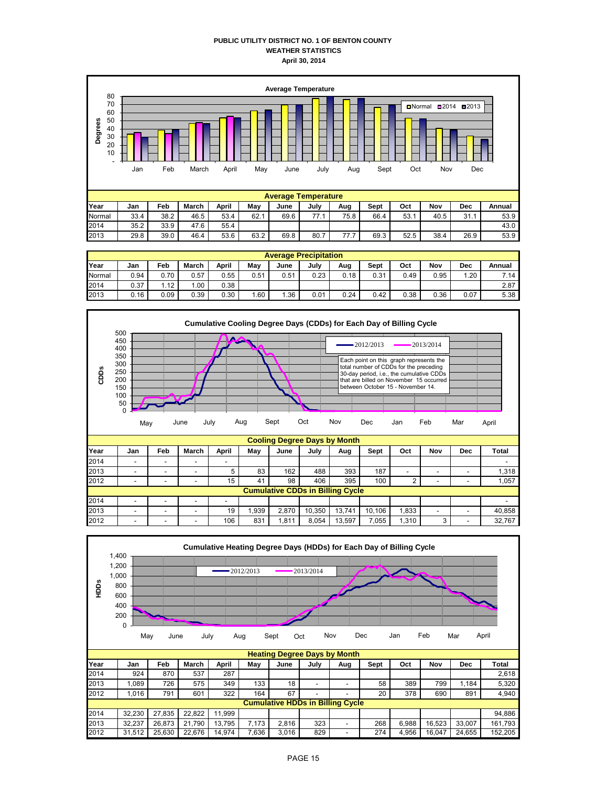## **PUBLIC UTILITY DISTRICT NO. 1 OF BENTON COUNTY WEATHER STATISTICS April 30, 2014**



|        | <b>Average Precipitation</b> |      |       |       |      |      |      |      |      |      |      |      |        |  |  |
|--------|------------------------------|------|-------|-------|------|------|------|------|------|------|------|------|--------|--|--|
| Year   | Jan                          | Feb  | March | April | May  | June | July | Aug  | Sept | Oct  | Nov  | Dec  | Annual |  |  |
| Normal | 0.94                         | 0.70 | 0.57  | 0.55  | 0.51 | 0.51 | 0.23 | 0.18 | 0.31 | 0.49 | 0.95 | 1.20 | 7.14   |  |  |
| 2014   | 0.37                         | 1.12 | .00   | 0.38  |      |      |      |      |      |      |      |      | 2.87   |  |  |
| 2013   | 0.16                         | 0.09 | 0.39  | 0.30  | .60  | .36  | 0.01 | 0.24 | 0.42 | 0.38 | 0.36 | 0.07 | 5.38   |  |  |



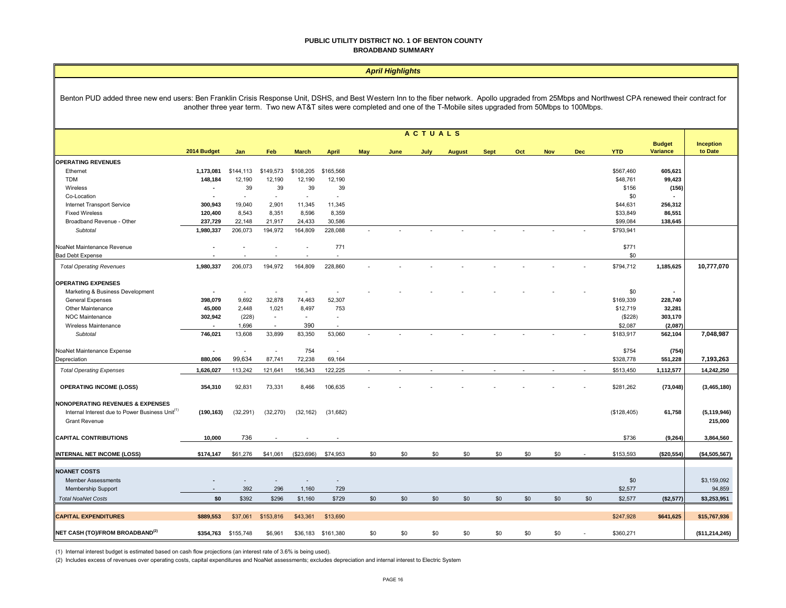#### **PUBLIC UTILITY DISTRICT NO. 1 OF BENTON COUNTY BROADBAND SUMMARY**

|                                                                                                                                                                                                                                                                                                                                 | <b>April Highlights</b>  |                          |                          |                             |                          |            |      |                |               |             |     |            |            |             |                                  |                      |
|---------------------------------------------------------------------------------------------------------------------------------------------------------------------------------------------------------------------------------------------------------------------------------------------------------------------------------|--------------------------|--------------------------|--------------------------|-----------------------------|--------------------------|------------|------|----------------|---------------|-------------|-----|------------|------------|-------------|----------------------------------|----------------------|
| Benton PUD added three new end users: Ben Franklin Crisis Response Unit, DSHS, and Best Western Inn to the fiber network. Apollo upgraded from 25Mbps and Northwest CPA renewed their contract for<br>another three year term. Two new AT&T sites were completed and one of the T-Mobile sites upgraded from 50Mbps to 100Mbps. |                          |                          |                          |                             |                          |            |      |                |               |             |     |            |            |             |                                  |                      |
|                                                                                                                                                                                                                                                                                                                                 |                          |                          |                          |                             |                          |            |      | <b>ACTUALS</b> |               |             |     |            |            |             |                                  |                      |
|                                                                                                                                                                                                                                                                                                                                 | 2014 Budget              | Jan                      | Feb                      | <b>March</b>                | <b>April</b>             | <b>May</b> | June | July           | <b>August</b> | <b>Sept</b> | Oct | <b>Nov</b> | <b>Dec</b> | <b>YTD</b>  | <b>Budget</b><br><b>Variance</b> | Inception<br>to Date |
| <b>OPERATING REVENUES</b>                                                                                                                                                                                                                                                                                                       |                          |                          |                          |                             |                          |            |      |                |               |             |     |            |            |             |                                  |                      |
| Ethernet                                                                                                                                                                                                                                                                                                                        | 1,173,081                | \$144,113                | \$149,573                | \$108,205                   | \$165,568                |            |      |                |               |             |     |            |            | \$567.460   | 605.621                          |                      |
| <b>TDM</b>                                                                                                                                                                                                                                                                                                                      | 148,184                  | 12,190                   | 12,190                   | 12,190                      | 12,190                   |            |      |                |               |             |     |            |            | \$48,761    | 99,423                           |                      |
| Wireless                                                                                                                                                                                                                                                                                                                        | $\overline{\phantom{a}}$ | 39                       | 39                       | 39                          | 39                       |            |      |                |               |             |     |            |            | \$156       | (156)                            |                      |
|                                                                                                                                                                                                                                                                                                                                 |                          | $\overline{\phantom{a}}$ | $\sim$                   | $\mathcal{L}_{\mathcal{A}}$ | ÷,                       |            |      |                |               |             |     |            |            | \$0         |                                  |                      |
| Co-Location                                                                                                                                                                                                                                                                                                                     |                          |                          |                          |                             |                          |            |      |                |               |             |     |            |            |             |                                  |                      |
| Internet Transport Service                                                                                                                                                                                                                                                                                                      | 300,943                  | 19,040                   | 2,901                    | 11,345                      | 11,345                   |            |      |                |               |             |     |            |            | \$44,631    | 256,312                          |                      |
| <b>Fixed Wireless</b>                                                                                                                                                                                                                                                                                                           | 120,400                  | 8,543                    | 8,351                    | 8,596                       | 8,359                    |            |      |                |               |             |     |            |            | \$33,849    | 86,551                           |                      |
| Broadband Revenue - Other                                                                                                                                                                                                                                                                                                       | 237,729                  | 22,148                   | 21,917                   | 24,433                      | 30,586                   |            |      |                |               |             |     |            |            | \$99,084    | 138,645                          |                      |
| Subtotal                                                                                                                                                                                                                                                                                                                        | 1,980,337                | 206,073                  | 194,972                  | 164,809                     | 228,088                  |            |      |                |               |             |     |            |            | \$793,941   |                                  |                      |
| NoaNet Maintenance Revenue                                                                                                                                                                                                                                                                                                      |                          |                          | $\overline{\phantom{a}}$ |                             | 771                      |            |      |                |               |             |     |            |            | \$771       |                                  |                      |
| <b>Bad Debt Expense</b>                                                                                                                                                                                                                                                                                                         |                          |                          |                          |                             |                          |            |      |                |               |             |     |            |            | \$0         |                                  |                      |
| <b>Total Operating Revenues</b>                                                                                                                                                                                                                                                                                                 | 1,980,337                | 206,073                  | 194,972                  | 164,809                     | 228,860                  |            |      |                |               |             |     |            |            | \$794,712   | 1,185,625                        | 10,777,070           |
| <b>OPERATING EXPENSES</b>                                                                                                                                                                                                                                                                                                       |                          |                          |                          |                             |                          |            |      |                |               |             |     |            |            |             |                                  |                      |
| Marketing & Business Development                                                                                                                                                                                                                                                                                                |                          |                          |                          |                             |                          |            |      |                |               |             |     |            |            | \$0         |                                  |                      |
| <b>General Expenses</b>                                                                                                                                                                                                                                                                                                         | 398,079                  | 9,692                    | 32,878                   | 74,463                      | 52,307                   |            |      |                |               |             |     |            |            | \$169,339   | 228,740                          |                      |
| Other Maintenance                                                                                                                                                                                                                                                                                                               | 45,000                   | 2,448                    | 1,021                    | 8,497                       | 753                      |            |      |                |               |             |     |            |            | \$12,719    | 32,281                           |                      |
| <b>NOC Maintenance</b>                                                                                                                                                                                                                                                                                                          | 302,942                  | (228)                    | $\sim$                   | $\sim$                      | $\overline{\phantom{a}}$ |            |      |                |               |             |     |            |            | (\$228)     | 303,170                          |                      |
| Wireless Maintenance                                                                                                                                                                                                                                                                                                            |                          | 1,696                    | $\sim$                   | 390                         | ÷                        |            |      |                |               |             |     |            |            | \$2,087     | (2,087)                          |                      |
| Subtotal                                                                                                                                                                                                                                                                                                                        | 746,021                  | 13,608                   | 33,899                   | 83,350                      | 53,060                   |            |      |                |               |             |     |            |            | \$183,917   | 562,104                          | 7,048,987            |
|                                                                                                                                                                                                                                                                                                                                 |                          |                          |                          |                             |                          |            |      |                |               |             |     |            |            |             |                                  |                      |
| NoaNet Maintenance Expense                                                                                                                                                                                                                                                                                                      | $\overline{\phantom{a}}$ | $\sim$                   | $\sim$                   | 754                         | $\overline{\phantom{a}}$ |            |      |                |               |             |     |            |            | \$754       | (754)                            |                      |
| Depreciation                                                                                                                                                                                                                                                                                                                    | 880.006                  | 99.634                   | 87,741                   | 72,238                      | 69,164                   |            |      |                |               |             |     |            |            | \$328,778   | 551,228                          | 7,193,263            |
| <b>Total Operating Expenses</b>                                                                                                                                                                                                                                                                                                 | 1,626,027                | 113,242                  | 121,641                  | 156,343                     | 122,225                  |            |      |                |               |             |     |            |            | \$513,450   | 1,112,577                        | 14,242,250           |
|                                                                                                                                                                                                                                                                                                                                 |                          |                          |                          |                             |                          |            |      |                |               |             |     |            |            |             |                                  |                      |
| <b>OPERATING INCOME (LOSS)</b>                                                                                                                                                                                                                                                                                                  | 354,310                  | 92,831                   | 73,331                   | 8,466                       | 106,635                  |            |      |                |               |             |     |            |            | \$281,262   | (73, 048)                        | (3,465,180)          |
| <b>NONOPERATING REVENUES &amp; EXPENSES</b>                                                                                                                                                                                                                                                                                     |                          |                          |                          |                             |                          |            |      |                |               |             |     |            |            |             |                                  |                      |
| Internal Interest due to Power Business Unit <sup>(1)</sup>                                                                                                                                                                                                                                                                     | (190, 163)               | (32, 291)                | (32, 270)                | (32, 162)                   | (31, 682)                |            |      |                |               |             |     |            |            | (\$128,405) | 61,758                           | (5, 119, 946)        |
| <b>Grant Revenue</b>                                                                                                                                                                                                                                                                                                            |                          |                          |                          |                             |                          |            |      |                |               |             |     |            |            |             |                                  | 215,000              |
|                                                                                                                                                                                                                                                                                                                                 |                          |                          |                          |                             |                          |            |      |                |               |             |     |            |            |             |                                  |                      |
| <b>CAPITAL CONTRIBUTIONS</b>                                                                                                                                                                                                                                                                                                    | 10.000                   | 736                      |                          |                             |                          |            |      |                |               |             |     |            |            | \$736       | (9, 264)                         | 3,864,560            |
| INTERNAL NET INCOME (LOSS)                                                                                                                                                                                                                                                                                                      | \$174,147                | \$61,276                 | \$41,061                 | (\$23,696)                  | \$74,953                 | \$0        | \$0  | \$0            | \$0           | \$0         | \$0 | \$0        |            | \$153,593   | (\$20,554)                       | (\$4,505,567)        |
|                                                                                                                                                                                                                                                                                                                                 |                          |                          |                          |                             |                          |            |      |                |               |             |     |            |            |             |                                  |                      |
| <b>NOANET COSTS</b>                                                                                                                                                                                                                                                                                                             |                          |                          |                          |                             |                          |            |      |                |               |             |     |            |            |             |                                  |                      |
| <b>Member Assessments</b>                                                                                                                                                                                                                                                                                                       |                          |                          |                          |                             | $\overline{a}$           |            |      |                |               |             |     |            |            | \$0         |                                  | \$3,159,092          |
| Membership Support                                                                                                                                                                                                                                                                                                              |                          | 392                      | 296                      | 1,160                       | 729                      |            |      |                |               |             |     |            |            | \$2,577     |                                  | 94,859               |
| <b>Total NoaNet Costs</b>                                                                                                                                                                                                                                                                                                       | \$0                      | \$392                    | \$296                    | \$1,160                     | \$729                    | \$0        | \$0  | \$0            | \$0           | \$0         | \$0 | \$0        | \$0        | \$2,577     | (\$2,577)                        | \$3,253,951          |
| <b>CAPITAL EXPENDITURES</b>                                                                                                                                                                                                                                                                                                     | \$889,553                | \$37,061                 | \$153,816                | \$43,361                    | \$13,690                 |            |      |                |               |             |     |            |            | \$247,928   | \$641,625                        | \$15,767,936         |
|                                                                                                                                                                                                                                                                                                                                 |                          |                          |                          |                             |                          |            |      |                |               |             |     |            |            |             |                                  |                      |
| NET CASH (TO)/FROM BROADBAND <sup>(2)</sup>                                                                                                                                                                                                                                                                                     | \$354,763                | \$155,748                | \$6,961                  | \$36,183                    | \$161,380                | \$0        | \$0  | \$0            | \$0           | \$0         | \$0 | \$0        |            | \$360,271   |                                  | (\$11,214,245)       |

(1) Internal interest budget is estimated based on cash flow projections (an interest rate of 3.6% is being used).

(2) Includes excess of revenues over operating costs, capital expenditures and NoaNet assessments; excludes depreciation and internal interest to Electric System